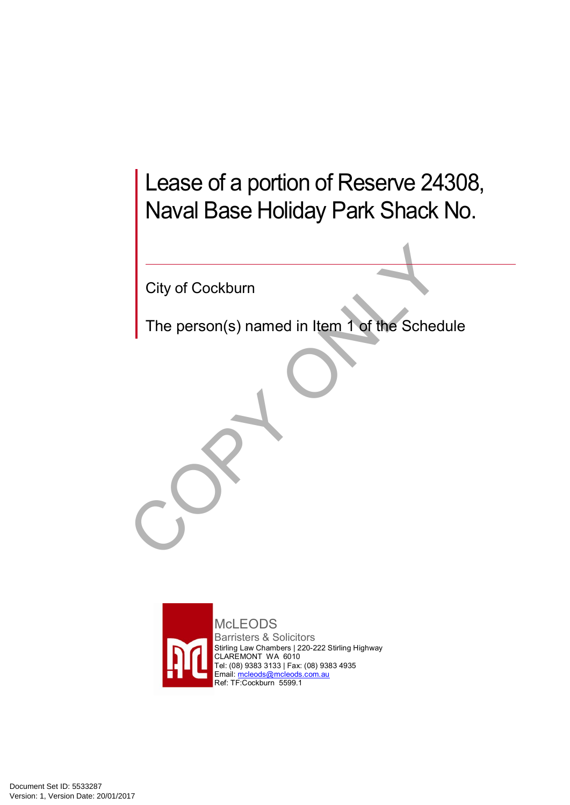# Lease of a portion of Reserve 24308, Naval Base Holiday Park Shack No.

City of Cockburn

The person(s) named in Item 1 of the Schedule



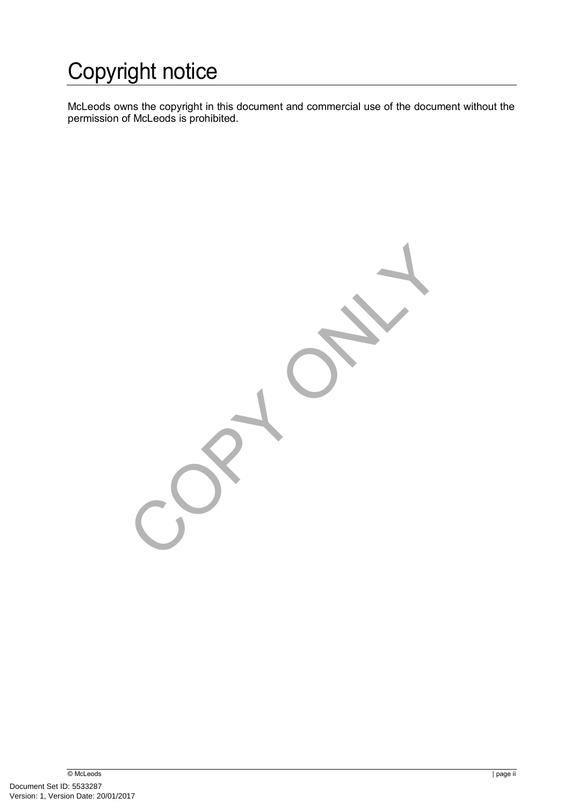# Copyright notice

McLeods owns the copyright in this document and commercial use of the document without the permission of McLeods is prohibited.

Contact of Contract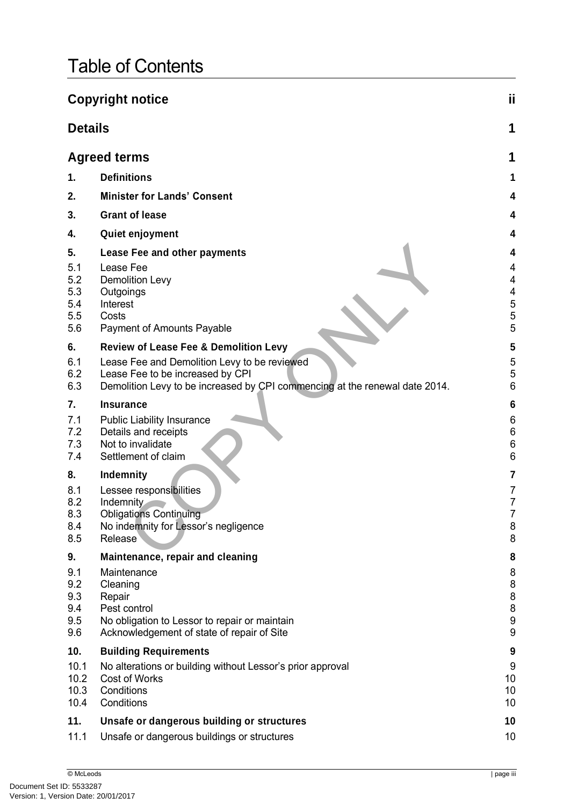# Table of Contents

|                                        | <b>Copyright notice</b>                                                                                                                                         | ji                                 |
|----------------------------------------|-----------------------------------------------------------------------------------------------------------------------------------------------------------------|------------------------------------|
| <b>Details</b>                         |                                                                                                                                                                 | 1                                  |
|                                        | <b>Agreed terms</b>                                                                                                                                             | 1                                  |
| 1.                                     | <b>Definitions</b>                                                                                                                                              | 1                                  |
| 2.                                     | <b>Minister for Lands' Consent</b>                                                                                                                              |                                    |
| 3.                                     | <b>Grant of lease</b>                                                                                                                                           | 4                                  |
| 4.                                     | Quiet enjoyment                                                                                                                                                 |                                    |
| 5.                                     | Lease Fee and other payments                                                                                                                                    | 4                                  |
| 5.1<br>5.2<br>5.3<br>5.4<br>5.5<br>5.6 | Lease Fee<br><b>Demolition Levy</b><br>Outgoings<br>Interest<br>Costs<br>Payment of Amounts Payable                                                             | 4<br>4<br>4<br>$\frac{5}{5}$<br>5  |
| 6.                                     | <b>Review of Lease Fee &amp; Demolition Levy</b>                                                                                                                | 5                                  |
| 6.1<br>6.2<br>6.3                      | Lease Fee and Demolition Levy to be reviewed<br>Lease Fee to be increased by CPI<br>Demolition Levy to be increased by CPI commencing at the renewal date 2014. | 5<br>5<br>6                        |
| 7.                                     | <b>Insurance</b>                                                                                                                                                | 6                                  |
| 7.1<br>7.2<br>7.3<br>7.4               | <b>Public Liability Insurance</b><br>Details and receipts<br>Not to invalidate<br>Settlement of claim                                                           | 6<br>6<br>6<br>6                   |
| 8.                                     | Indemnity                                                                                                                                                       | 7                                  |
| 8.1<br>8.2<br>8.3<br>8.4<br>8.5        | Lessee responsibilities<br>Indemnity<br><b>Obligations Continuing</b><br>No indemnity for Lessor's negligence<br>Release                                        | 7<br>7<br>$\overline{7}$<br>8<br>8 |
| 9.                                     | Maintenance, repair and cleaning                                                                                                                                | 8                                  |
| 9.1<br>9.2<br>9.3<br>9.4<br>9.5<br>9.6 | Maintenance<br>Cleaning<br>Repair<br>Pest control<br>No obligation to Lessor to repair or maintain<br>Acknowledgement of state of repair of Site                | 8<br>8<br>8<br>8<br>9<br>9         |
| 10.                                    | <b>Building Requirements</b>                                                                                                                                    | 9                                  |
| 10.1<br>10.2<br>10.3<br>10.4           | No alterations or building without Lessor's prior approval<br>Cost of Works<br>Conditions<br>Conditions                                                         | 9<br>10<br>10<br>10                |
| 11.                                    | Unsafe or dangerous building or structures                                                                                                                      | 10                                 |
| 11.1                                   | Unsafe or dangerous buildings or structures                                                                                                                     | 10                                 |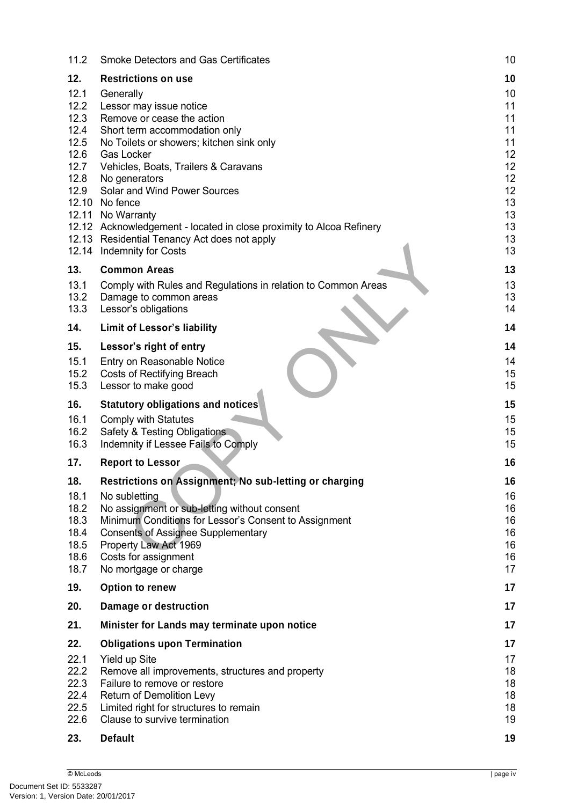| 11.2                 | <b>Smoke Detectors and Gas Certificates</b>                                                                     | 10             |
|----------------------|-----------------------------------------------------------------------------------------------------------------|----------------|
| 12.                  | <b>Restrictions on use</b>                                                                                      | 10             |
| 12.1<br>12.2<br>12.3 | Generally<br>Lessor may issue notice<br>Remove or cease the action                                              | 10<br>11<br>11 |
| 12.4<br>12.5<br>12.6 | Short term accommodation only<br>No Toilets or showers; kitchen sink only<br><b>Gas Locker</b>                  | 11<br>11<br>12 |
| 12.7<br>12.8<br>12.9 | Vehicles, Boats, Trailers & Caravans<br>No generators<br>Solar and Wind Power Sources                           | 12<br>12<br>12 |
|                      | 12.10 No fence<br>12.11 No Warranty<br>12.12 Acknowledgement - located in close proximity to Alcoa Refinery     | 13<br>13<br>13 |
|                      | 12.13 Residential Tenancy Act does not apply<br>12.14 Indemnity for Costs                                       | 13<br>13       |
| 13.                  | <b>Common Areas</b>                                                                                             | 13             |
| 13.1<br>13.2<br>13.3 | Comply with Rules and Regulations in relation to Common Areas<br>Damage to common areas<br>Lessor's obligations | 13<br>13<br>14 |
| 14.                  | <b>Limit of Lessor's liability</b>                                                                              | 14             |
| 15.                  | Lessor's right of entry                                                                                         | 14             |
| 15.1<br>15.2<br>15.3 | Entry on Reasonable Notice<br><b>Costs of Rectifying Breach</b><br>Lessor to make good                          | 14<br>15<br>15 |
| 16.                  | <b>Statutory obligations and notices</b>                                                                        | 15             |
| 16.1<br>16.2<br>16.3 | <b>Comply with Statutes</b><br>Safety & Testing Obligations<br>Indemnity if Lessee Fails to Comply              | 15<br>15<br>15 |
| 17.                  | <b>Report to Lessor</b>                                                                                         | 16             |
| 18.                  | Restrictions on Assignment; No sub-letting or charging                                                          | 16             |
| 18.1                 | No subletting                                                                                                   | 16             |
| 18.2<br>18.3         | No assignment or sub-letting without consent<br>Minimum Conditions for Lessor's Consent to Assignment           | 16<br>16       |
| 18.4                 | <b>Consents of Assignee Supplementary</b>                                                                       | 16             |
| 18.5<br>18.6         | Property Law Act 1969<br>Costs for assignment                                                                   | 16<br>16       |
| 18.7                 | No mortgage or charge                                                                                           | 17             |
| 19.                  | Option to renew                                                                                                 | 17             |
| 20.                  | Damage or destruction                                                                                           | 17             |
| 21.                  | Minister for Lands may terminate upon notice                                                                    | 17             |
| 22.                  | <b>Obligations upon Termination</b>                                                                             | 17             |
| 22.1                 | Yield up Site                                                                                                   | 17             |
| 22.2<br>22.3         | Remove all improvements, structures and property<br>Failure to remove or restore                                | 18<br>18       |
| 22.4                 | Return of Demolition Levy                                                                                       | 18             |
| 22.5<br>22.6         | Limited right for structures to remain<br>Clause to survive termination                                         | 18             |
|                      |                                                                                                                 | 19             |
| 23.                  | <b>Default</b>                                                                                                  | 19             |
|                      |                                                                                                                 |                |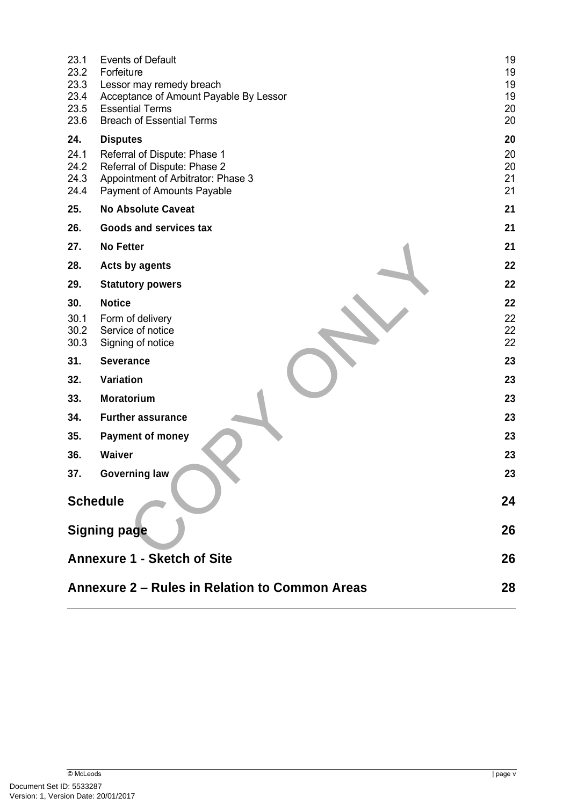| 23.1<br><b>Events of Default</b><br>23.2<br>Forfeiture                     |  | 19<br>19 |
|----------------------------------------------------------------------------|--|----------|
| 23.3<br>Lessor may remedy breach                                           |  | 19       |
| 23.4<br>Acceptance of Amount Payable By Lessor                             |  | 19       |
| 23.5<br><b>Essential Terms</b><br>23.6<br><b>Breach of Essential Terms</b> |  | 20<br>20 |
| 24.<br><b>Disputes</b>                                                     |  | 20       |
| 24.1<br>Referral of Dispute: Phase 1                                       |  | 20       |
| 24.2<br>Referral of Dispute: Phase 2                                       |  | 20       |
| 24.3<br>Appointment of Arbitrator: Phase 3                                 |  | 21<br>21 |
| 24.4<br>Payment of Amounts Payable<br>25.<br><b>No Absolute Caveat</b>     |  | 21       |
| 26.<br><b>Goods and services tax</b>                                       |  | 21       |
| 27.<br><b>No Fetter</b>                                                    |  | 21       |
| 28.<br><b>Acts by agents</b>                                               |  | 22       |
| 29.<br><b>Statutory powers</b>                                             |  | 22       |
| 30.<br><b>Notice</b>                                                       |  | 22       |
| 30.1<br>Form of delivery                                                   |  | 22       |
| 30.2<br>Service of notice                                                  |  | 22       |
| 30.3<br>Signing of notice                                                  |  | 22       |
| 31.<br><b>Severance</b>                                                    |  | 23       |
| 32.<br>Variation                                                           |  | 23       |
| 33.<br><b>Moratorium</b>                                                   |  | 23       |
| 34.<br><b>Further assurance</b>                                            |  | 23       |
| 35.<br><b>Payment of money</b>                                             |  | 23       |
| <b>Waiver</b><br>36.                                                       |  | 23       |
| 37.<br><b>Governing law</b>                                                |  | 23       |
| <b>Schedule</b>                                                            |  | 24       |
|                                                                            |  |          |
| <b>Signing page</b>                                                        |  | 26       |
| <b>Annexure 1 - Sketch of Site</b>                                         |  | 26       |
|                                                                            |  |          |
| Annexure 2 – Rules in Relation to Common Areas                             |  | 28       |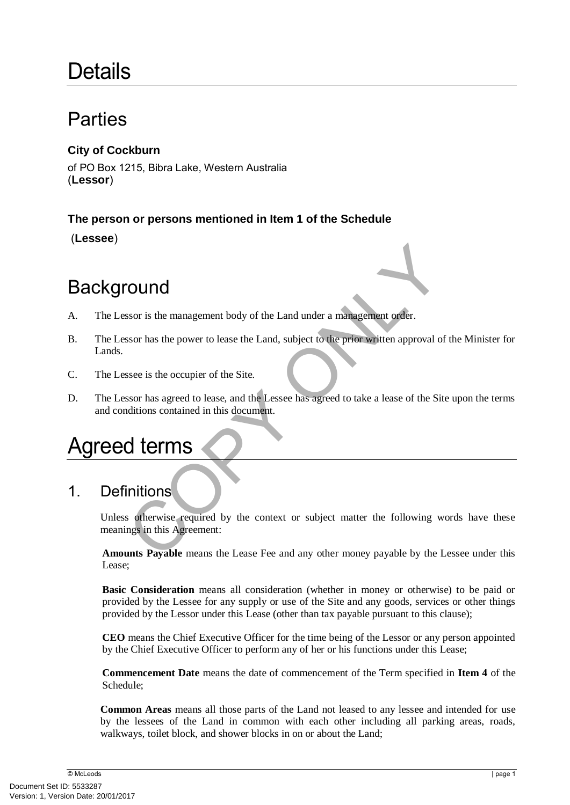# **Details**

## Parties

## **City of Cockburn**

of PO Box 1215, Bibra Lake, Western Australia (**Lessor**)

## **The person or persons mentioned in Item 1 of the Schedule**

(**Lessee**)

# **Background**

- A. The Lessor is the management body of the Land under a management order.
- France Soor is the management body of the Land under a management order.<br>
Soor has the power to lease the Land, subject to the prior written approval of the<br>
Sose is the occupier of the Site.<br>
Soor has agreed to lease, and B. The Lessor has the power to lease the Land, subject to the prior written approval of the Minister for Lands.
- C. The Lessee is the occupier of the Site.
- D. The Lessor has agreed to lease, and the Lessee has agreed to take a lease of the Site upon the terms and conditions contained in this document.

# Agreed terms

## 1. Definitions

Unless otherwise required by the context or subject matter the following words have these meanings in this Agreement:

**Amounts Payable** means the Lease Fee and any other money payable by the Lessee under this Lease;

**Basic Consideration** means all consideration (whether in money or otherwise) to be paid or provided by the Lessee for any supply or use of the Site and any goods, services or other things provided by the Lessor under this Lease (other than tax payable pursuant to this clause);

**CEO** means the Chief Executive Officer for the time being of the Lessor or any person appointed by the Chief Executive Officer to perform any of her or his functions under this Lease;

**Commencement Date** means the date of commencement of the Term specified in **Item 4** of the Schedule;

**Common Areas** means all those parts of the Land not leased to any lessee and intended for use by the lessees of the Land in common with each other including all parking areas, roads, walkways, toilet block, and shower blocks in on or about the Land;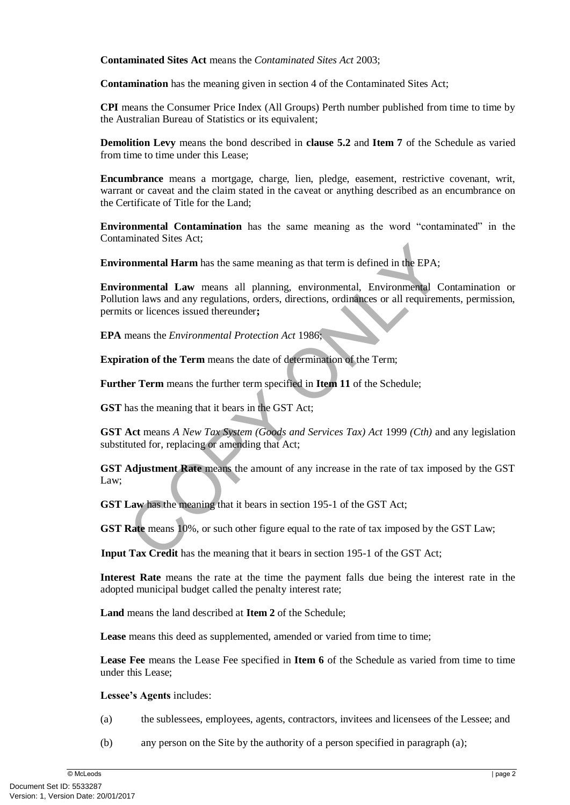**Contaminated Sites Act** means the *Contaminated Sites Act* 2003;

**Contamination** has the meaning given in section 4 of the Contaminated Sites Act;

**CPI** means the Consumer Price Index (All Groups) Perth number published from time to time by the Australian Bureau of Statistics or its equivalent;

**Demolition Levy** means the bond described in **clause** [5.2](#page-8-0) and **Item 7** of the Schedule as varied from time to time under this Lease;

**Encumbrance** means a mortgage, charge, lien, pledge, easement, restrictive covenant, writ, warrant or caveat and the claim stated in the caveat or anything described as an encumbrance on the Certificate of Title for the Land;

**Environmental Contamination** has the same meaning as the word "contaminated" in the Contaminated Sites Act;

**Environmental Harm** has the same meaning as that term is defined in the EPA;

**onmental Harm** has the same meaning as that term is defined in the EPA;<br> **onmental Law** means all planning, environmental, Environmental Conton laws and any regulations, orders, directions, ordinances or all requirement<br> **Environmental Law** means all planning, environmental, Environmental Contamination or Pollution laws and any regulations, orders, directions, ordinances or all requirements, permission, permits or licences issued thereunder**;**

**EPA** means the *Environmental Protection Act* 1986;

**Expiration of the Term** means the date of determination of the Term;

**Further Term** means the further term specified in **Item 11** of the Schedule;

**GST** has the meaning that it bears in the GST Act;

**GST Act** means *A New Tax System (Goods and Services Tax) Act* 1999 *(Cth)* and any legislation substituted for, replacing or amending that Act;

**GST Adjustment Rate** means the amount of any increase in the rate of tax imposed by the GST Law;

**GST Law** has the meaning that it bears in section 195-1 of the GST Act;

**GST Rate** means 10%, or such other figure equal to the rate of tax imposed by the GST Law;

**Input Tax Credit** has the meaning that it bears in section 195-1 of the GST Act;

**Interest Rate** means the rate at the time the payment falls due being the interest rate in the adopted municipal budget called the penalty interest rate;

**Land** means the land described at **Item 2** of the Schedule;

Lease means this deed as supplemented, amended or varied from time to time;

**Lease Fee** means the Lease Fee specified in **Item 6** of the Schedule as varied from time to time under this Lease;

**Lessee's Agents** includes:

- (a) the sublessees, employees, agents, contractors, invitees and licensees of the Lessee; and
- (b) any person on the Site by the authority of a person specified in paragraph (a);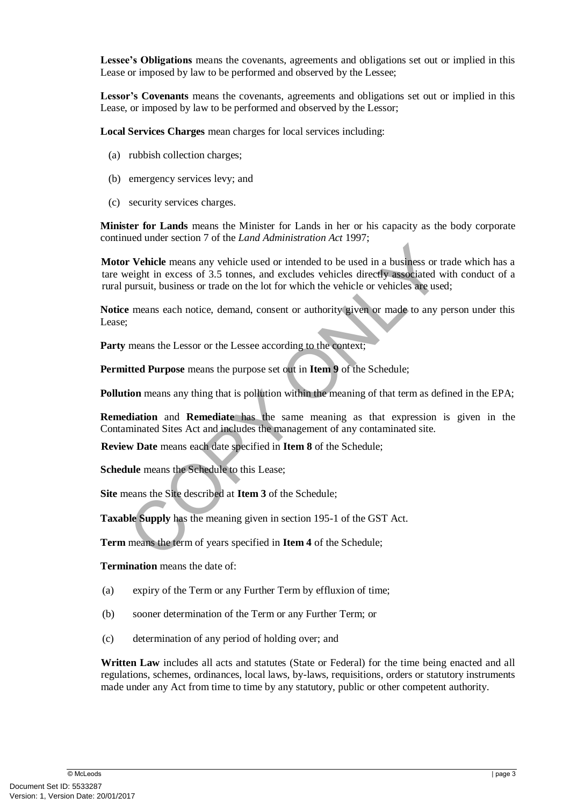**Lessee's Obligations** means the covenants, agreements and obligations set out or implied in this Lease or imposed by law to be performed and observed by the Lessee;

**Lessor's Covenants** means the covenants, agreements and obligations set out or implied in this Lease, or imposed by law to be performed and observed by the Lessor;

**Local Services Charges** mean charges for local services including:

- (a) rubbish collection charges;
- (b) emergency services levy; and
- (c) security services charges.

**Minister for Lands** means the Minister for Lands in her or his capacity as the body corporate continued under section 7 of the *Land Administration Act* 1997;

**r Vehicle** means any vehicle used or intended to be used in a business or trade-<br>everght in excess of 3.5 tonnes, and excludes vehicles directly associated with<br>pursuit, business or trade on the lot for which the vehicle **Motor Vehicle** means any vehicle used or intended to be used in a business or trade which has a tare weight in excess of 3.5 tonnes, and excludes vehicles directly associated with conduct of a rural pursuit, business or trade on the lot for which the vehicle or vehicles are used;

**Notice** means each notice, demand, consent or authority given or made to any person under this Lease;

Party means the Lessor or the Lessee according to the context;

**Permitted Purpose** means the purpose set out in **Item 9** of the Schedule;

**Pollution** means any thing that is pollution within the meaning of that term as defined in the EPA;

**Remediation** and **Remediate** has the same meaning as that expression is given in the Contaminated Sites Act and includes the management of any contaminated site.

**Review Date** means each date specified in **Item 8** of the Schedule;

**Schedule** means the Schedule to this Lease;

**Site** means the Site described at **Item 3** of the Schedule;

**Taxable Supply** has the meaning given in section 195-1 of the GST Act.

**Term** means the term of years specified in **Item 4** of the Schedule;

**Termination** means the date of:

- (a) expiry of the Term or any Further Term by effluxion of time;
- (b) sooner determination of the Term or any Further Term; or
- (c) determination of any period of holding over; and

**Written Law** includes all acts and statutes (State or Federal) for the time being enacted and all regulations, schemes, ordinances, local laws, by-laws, requisitions, orders or statutory instruments made under any Act from time to time by any statutory, public or other competent authority.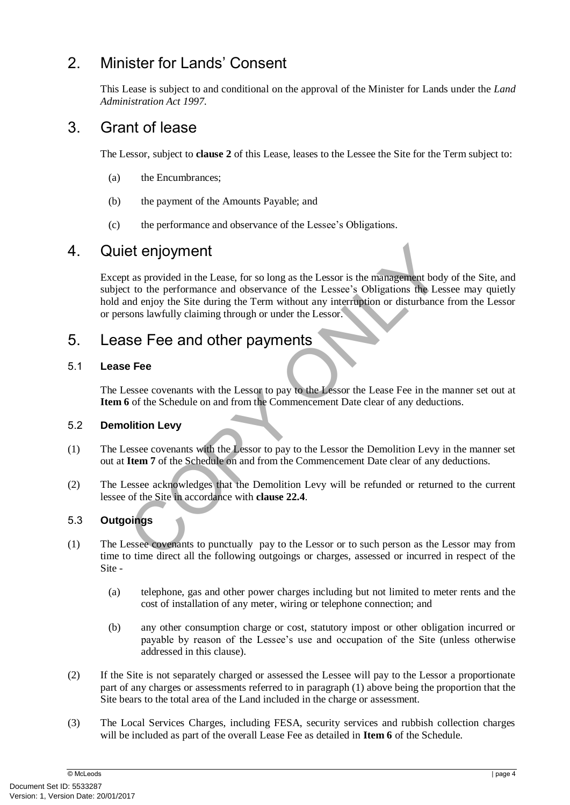## <span id="page-8-1"></span>2. Minister for Lands' Consent

This Lease is subject to and conditional on the approval of the Minister for Lands under the *Land Administration Act 1997*.

## 3. Grant of lease

The Lessor, subject to **clause [2](#page-8-1)** of this Lease, leases to the Lessee the Site for the Term subject to:

- (a) the Encumbrances;
- (b) the payment of the Amounts Payable; and
- (c) the performance and observance of the Lessee's Obligations.

## 4. Quiet enjoyment

**Et enjoyment**<br> **Et enjoyment**<br> **Et enjoyment**<br> **Et ensume Constant Constant Constant Constant Constant Constant Constant Constant Constant Constant Constant<br>
<b>Example Site during the Term without any interruption or distu** Except as provided in the Lease, for so long as the Lessor is the management body of the Site, and subject to the performance and observance of the Lessee's Obligations the Lessee may quietly hold and enjoy the Site during the Term without any interruption or disturbance from the Lessor or persons lawfully claiming through or under the Lessor.

## <span id="page-8-2"></span>5. Lease Fee and other payments

#### 5.1 **Lease Fee**

The Lessee covenants with the Lessor to pay to the Lessor the Lease Fee in the manner set out at **Item 6** of the Schedule on and from the Commencement Date clear of any deductions.

#### <span id="page-8-0"></span>5.2 **Demolition Levy**

- (1) The Lessee covenants with the Lessor to pay to the Lessor the Demolition Levy in the manner set out at **Item 7** of the Schedule on and from the Commencement Date clear of any deductions.
- (2) The Lessee acknowledges that the Demolition Levy will be refunded or returned to the current lessee of the Site in accordance with **clause 22.4**.

#### 5.3 **Outgoings**

- (1) The Lessee covenants to punctually pay to the Lessor or to such person as the Lessor may from time to time direct all the following outgoings or charges, assessed or incurred in respect of the Site -
	- (a) telephone, gas and other power charges including but not limited to meter rents and the cost of installation of any meter, wiring or telephone connection; and
	- (b) any other consumption charge or cost, statutory impost or other obligation incurred or payable by reason of the Lessee's use and occupation of the Site (unless otherwise addressed in this clause).
- (2) If the Site is not separately charged or assessed the Lessee will pay to the Lessor a proportionate part of any charges or assessments referred to in paragraph (1) above being the proportion that the Site bears to the total area of the Land included in the charge or assessment.
- (3) The Local Services Charges, including FESA, security services and rubbish collection charges will be included as part of the overall Lease Fee as detailed in **Item 6** of the Schedule.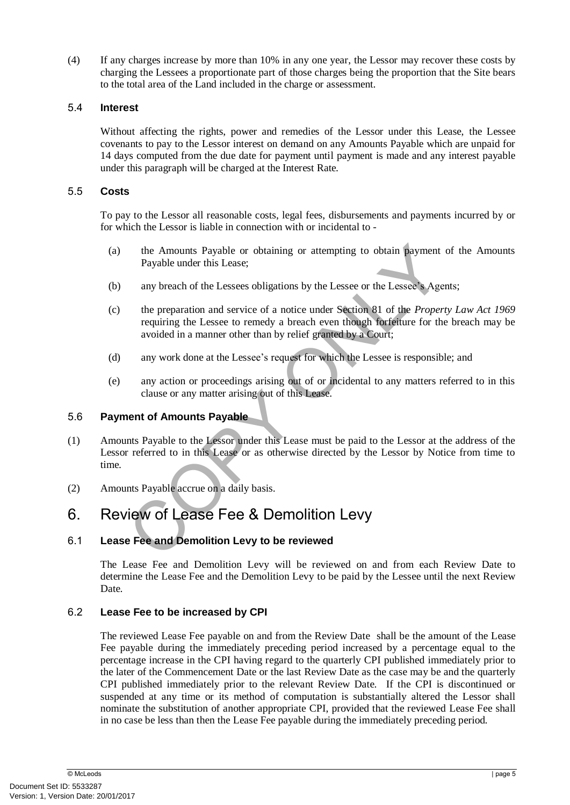(4) If any charges increase by more than 10% in any one year, the Lessor may recover these costs by charging the Lessees a proportionate part of those charges being the proportion that the Site bears to the total area of the Land included in the charge or assessment.

#### 5.4 **Interest**

Without affecting the rights, power and remedies of the Lessor under this Lease, the Lessee covenants to pay to the Lessor interest on demand on any Amounts Payable which are unpaid for 14 days computed from the due date for payment until payment is made and any interest payable under this paragraph will be charged at the Interest Rate.

#### 5.5 **Costs**

To pay to the Lessor all reasonable costs, legal fees, disbursements and payments incurred by or for which the Lessor is liable in connection with or incidental to -

- (a) the Amounts Payable or obtaining or attempting to obtain payment of the Amounts Payable under this Lease;
- (b) any breach of the Lessees obligations by the Lessee or the Lessee's Agents;
- (c) the preparation and service of a notice under Section 81 of the *Property Law Act 1969* requiring the Lessee to remedy a breach even though forfeiture for the breach may be avoided in a manner other than by relief granted by a Court;
- (d) any work done at the Lessee's request for which the Lessee is responsible; and
- (e) any action or proceedings arising out of or incidental to any matters referred to in this clause or any matter arising out of this Lease.

#### 5.6 **Payment of Amounts Payable**

- the Amounts Payable or obtaining or attempting to obtain payment of<br>Payable under this Lease;<br>any breach of the Lessees obligations by the Lessee or the Lessee's Agents<br>the preparation and service of a notice under Section (1) Amounts Payable to the Lessor under this Lease must be paid to the Lessor at the address of the Lessor referred to in this Lease or as otherwise directed by the Lessor by Notice from time to time.
- (2) Amounts Payable accrue on a daily basis.

## 6. Review of Lease Fee & Demolition Levy

#### 6.1 **Lease Fee and Demolition Levy to be reviewed**

The Lease Fee and Demolition Levy will be reviewed on and from each Review Date to determine the Lease Fee and the Demolition Levy to be paid by the Lessee until the next Review Date.

#### 6.2 **Lease Fee to be increased by CPI**

The reviewed Lease Fee payable on and from the Review Date shall be the amount of the Lease Fee payable during the immediately preceding period increased by a percentage equal to the percentage increase in the CPI having regard to the quarterly CPI published immediately prior to the later of the Commencement Date or the last Review Date as the case may be and the quarterly CPI published immediately prior to the relevant Review Date. If the CPI is discontinued or suspended at any time or its method of computation is substantially altered the Lessor shall nominate the substitution of another appropriate CPI, provided that the reviewed Lease Fee shall in no case be less than then the Lease Fee payable during the immediately preceding period.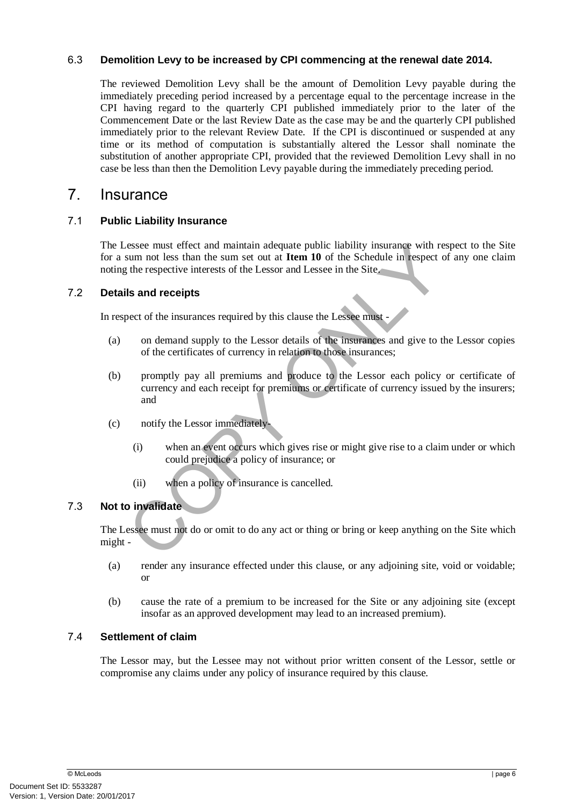#### 6.3 **Demolition Levy to be increased by CPI commencing at the renewal date 2014.**

The reviewed Demolition Levy shall be the amount of Demolition Levy payable during the immediately preceding period increased by a percentage equal to the percentage increase in the CPI having regard to the quarterly CPI published immediately prior to the later of the Commencement Date or the last Review Date as the case may be and the quarterly CPI published immediately prior to the relevant Review Date. If the CPI is discontinued or suspended at any time or its method of computation is substantially altered the Lessor shall nominate the substitution of another appropriate CPI, provided that the reviewed Demolition Levy shall in no case be less than then the Demolition Levy payable during the immediately preceding period.

## <span id="page-10-0"></span>7. Insurance

#### 7.1 **Public Liability Insurance**

The Lessee must effect and maintain adequate public liability insurance with respect to the Site for a sum not less than the sum set out at **Item 10** of the Schedule in respect of any one claim noting the respective interests of the Lessor and Lessee in the Site.

#### 7.2 **Details and receipts**

In respect of the insurances required by this clause the Lessee must -

- (a) on demand supply to the Lessor details of the insurances and give to the Lessor copies of the certificates of currency in relation to those insurances;
- Exam not less than the sum at equate public liability insurance with responding to the signal the sum at out at **Item 10** of the Schedule in respect of a the sempetive interests of the Lessor and Lessee in the Site, the re (b) promptly pay all premiums and produce to the Lessor each policy or certificate of currency and each receipt for premiums or certificate of currency issued by the insurers; and
- (c) notify the Lessor immediately-
	- (i) when an event occurs which gives rise or might give rise to a claim under or which could prejudice a policy of insurance; or
	- (ii) when a policy of insurance is cancelled.

#### 7.3 **Not to invalidate**

The Lessee must not do or omit to do any act or thing or bring or keep anything on the Site which might -

- (a) render any insurance effected under this clause, or any adjoining site, void or voidable; or
- (b) cause the rate of a premium to be increased for the Site or any adjoining site (except insofar as an approved development may lead to an increased premium).

#### 7.4 **Settlement of claim**

The Lessor may, but the Lessee may not without prior written consent of the Lessor, settle or compromise any claims under any policy of insurance required by this clause.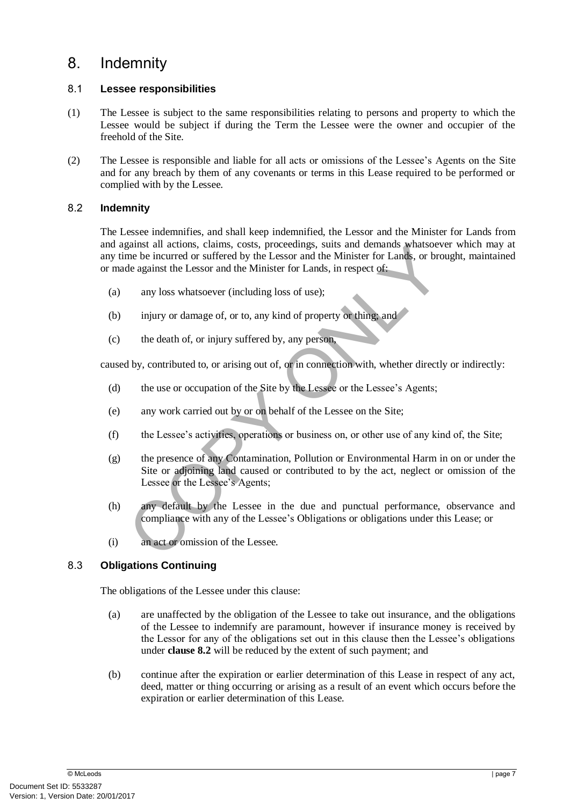## <span id="page-11-1"></span>8. Indemnity

#### 8.1 **Lessee responsibilities**

- (1) The Lessee is subject to the same responsibilities relating to persons and property to which the Lessee would be subject if during the Term the Lessee were the owner and occupier of the freehold of the Site.
- (2) The Lessee is responsible and liable for all acts or omissions of the Lessee's Agents on the Site and for any breach by them of any covenants or terms in this Lease required to be performed or complied with by the Lessee.

#### <span id="page-11-0"></span>8.2 **Indemnity**

The Lessee indemnifies, and shall keep indemnified, the Lessor and the Minister for Lands from and against all actions, claims, costs, proceedings, suits and demands whatsoever which may at any time be incurred or suffered by the Lessor and the Minister for Lands, or brought, maintained or made against the Lessor and the Minister for Lands, in respect of:

- (a) any loss whatsoever (including loss of use);
- (b) injury or damage of, or to, any kind of property or thing; and
- (c) the death of, or injury suffered by, any person,

caused by, contributed to, or arising out of, or in connection with, whether directly or indirectly:

- (d) the use or occupation of the Site by the Lessee or the Lessee's Agents;
- (e) any work carried out by or on behalf of the Lessee on the Site;
- (f) the Lessee's activities, operations or business on, or other use of any kind of, the Site;
- signarial and actions, claims, costs, proceedings, suits and chemands whatsoever<br>the be incurred or sufficied by the Lessor and the Minister for Lands, or brought<br>de against the Lessor and the Minister for Lands, in respec (g) the presence of any Contamination, Pollution or Environmental Harm in on or under the Site or adjoining land caused or contributed to by the act, neglect or omission of the Lessee or the Lessee's Agents;
- (h) any default by the Lessee in the due and punctual performance, observance and compliance with any of the Lessee's Obligations or obligations under this Lease; or
- (i) an act or omission of the Lessee.

#### 8.3 **Obligations Continuing**

The obligations of the Lessee under this clause:

- (a) are unaffected by the obligation of the Lessee to take out insurance, and the obligations of the Lessee to indemnify are paramount, however if insurance money is received by the Lessor for any of the obligations set out in this clause then the Lessee's obligations under **clause [8.2](#page-11-0)** will be reduced by the extent of such payment; and
- (b) continue after the expiration or earlier determination of this Lease in respect of any act, deed, matter or thing occurring or arising as a result of an event which occurs before the expiration or earlier determination of this Lease.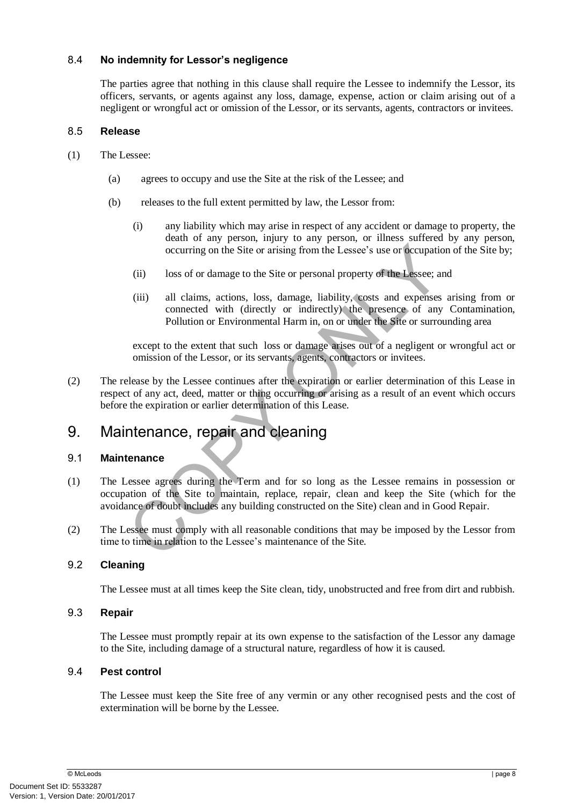#### 8.4 **No indemnity for Lessor's negligence**

The parties agree that nothing in this clause shall require the Lessee to indemnify the Lessor, its officers, servants, or agents against any loss, damage, expense, action or claim arising out of a negligent or wrongful act or omission of the Lessor, or its servants, agents, contractors or invitees.

#### 8.5 **Release**

- (1) The Lessee:
	- (a) agrees to occupy and use the Site at the risk of the Lessee; and
	- (b) releases to the full extent permitted by law, the Lessor from:
		- (i) any liability which may arise in respect of any accident or damage to property, the death of any person, injury to any person, or illness suffered by any person, occurring on the Site or arising from the Lessee's use or occupation of the Site by;
		- (ii) loss of or damage to the Site or personal property of the Lessee; and
		- (iii) all claims, actions, loss, damage, liability, costs and expenses arising from or connected with (directly or indirectly) the presence of any Contamination, Pollution or Environmental Harm in, on or under the Site or surrounding area

except to the extent that such loss or damage arises out of a negligent or wrongful act or omission of the Lessor, or its servants, agents, contractors or invitees.

occurring on the Site or arising from the Lessee's use or occupation of<br>
(ii) loss of or damage to the Site or personal property of the Lessee; and<br>
(iii) all claims, actions, loss, damage, liability, costs and expenses ar (2) The release by the Lessee continues after the expiration or earlier determination of this Lease in respect of any act, deed, matter or thing occurring or arising as a result of an event which occurs before the expiration or earlier determination of this Lease.

## <span id="page-12-0"></span>9. Maintenance, repair and cleaning

#### 9.1 **Maintenance**

- (1) The Lessee agrees during the Term and for so long as the Lessee remains in possession or occupation of the Site to maintain, replace, repair, clean and keep the Site (which for the avoidance of doubt includes any building constructed on the Site) clean and in Good Repair.
- (2) The Lessee must comply with all reasonable conditions that may be imposed by the Lessor from time to time in relation to the Lessee's maintenance of the Site.

#### 9.2 **Cleaning**

The Lessee must at all times keep the Site clean, tidy, unobstructed and free from dirt and rubbish.

#### 9.3 **Repair**

The Lessee must promptly repair at its own expense to the satisfaction of the Lessor any damage to the Site, including damage of a structural nature, regardless of how it is caused.

#### 9.4 **Pest control**

The Lessee must keep the Site free of any vermin or any other recognised pests and the cost of extermination will be borne by the Lessee.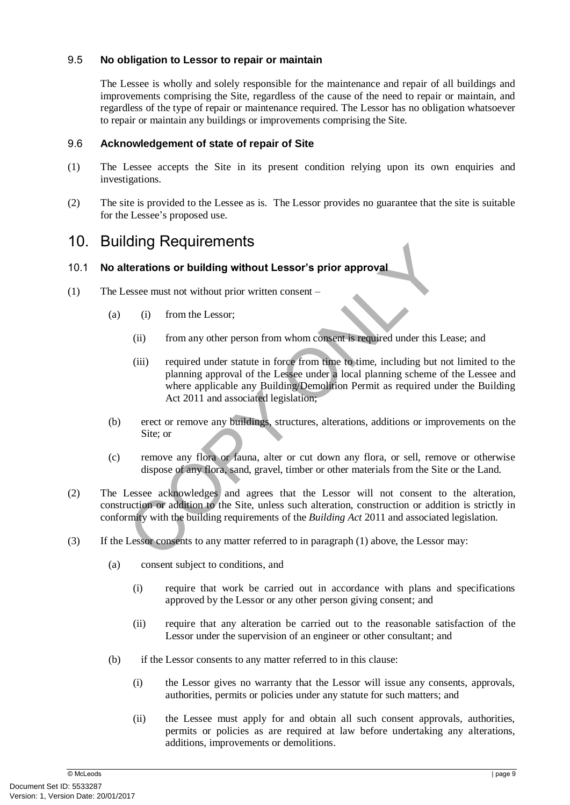#### 9.5 **No obligation to Lessor to repair or maintain**

The Lessee is wholly and solely responsible for the maintenance and repair of all buildings and improvements comprising the Site, regardless of the cause of the need to repair or maintain, and regardless of the type of repair or maintenance required. The Lessor has no obligation whatsoever to repair or maintain any buildings or improvements comprising the Site.

#### 9.6 **Acknowledgement of state of repair of Site**

- (1) The Lessee accepts the Site in its present condition relying upon its own enquiries and investigations.
- (2) The site is provided to the Lessee as is. The Lessor provides no guarantee that the site is suitable for the Lessee's proposed use.

## <span id="page-13-0"></span>10. Building Requirements

#### 10.1 **No alterations or building without Lessor's prior approval**

- (1) The Lessee must not without prior written consent
	- (a) (i) from the Lessor;
		- (ii) from any other person from whom consent is required under this Lease; and
- Example 11 and the State of the Building Act 2011 and associated less<br>
the many other person from whom consent sequired under this Lea.<br>
(ii) from any other person from whom consent is required under this Lea.<br>
(iii) requi (iii) required under statute in force from time to time, including but not limited to the planning approval of the Lessee under a local planning scheme of the Lessee and where applicable any Building/Demolition Permit as required under the Building Act 2011 and associated legislation;
	- (b) erect or remove any buildings, structures, alterations, additions or improvements on the Site; or
	- (c) remove any flora or fauna, alter or cut down any flora, or sell, remove or otherwise dispose of any flora, sand, gravel, timber or other materials from the Site or the Land.
- (2) The Lessee acknowledges and agrees that the Lessor will not consent to the alteration, construction or addition to the Site, unless such alteration, construction or addition is strictly in conformity with the building requirements of the *Building Act* 2011 and associated legislation.
- (3) If the Lessor consents to any matter referred to in paragraph (1) above, the Lessor may:
	- (a) consent subject to conditions, and
		- (i) require that work be carried out in accordance with plans and specifications approved by the Lessor or any other person giving consent; and
		- (ii) require that any alteration be carried out to the reasonable satisfaction of the Lessor under the supervision of an engineer or other consultant; and
	- (b) if the Lessor consents to any matter referred to in this clause:
		- (i) the Lessor gives no warranty that the Lessor will issue any consents, approvals, authorities, permits or policies under any statute for such matters; and
		- (ii) the Lessee must apply for and obtain all such consent approvals, authorities, permits or policies as are required at law before undertaking any alterations, additions, improvements or demolitions.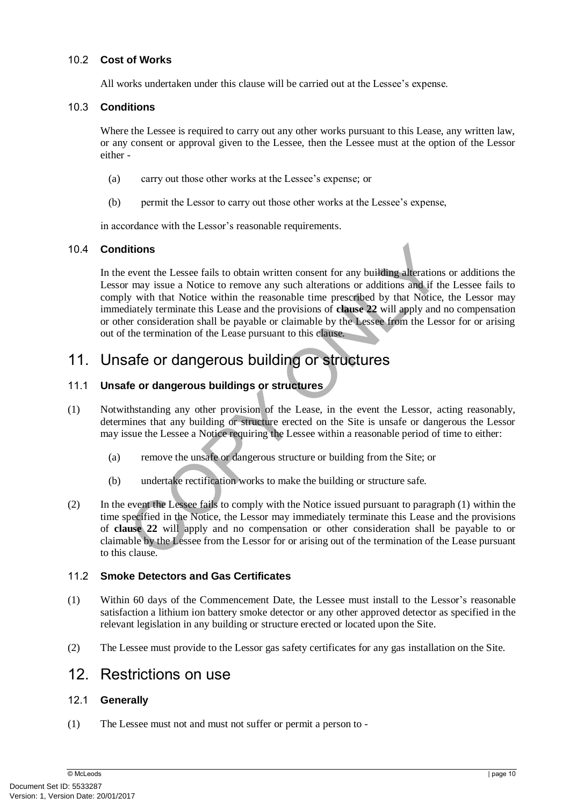#### 10.2 **Cost of Works**

All works undertaken under this clause will be carried out at the Lessee's expense.

#### 10.3 **Conditions**

Where the Lessee is required to carry out any other works pursuant to this Lease, any written law, or any consent or approval given to the Lessee, then the Lessee must at the option of the Lessor either -

- (a) carry out those other works at the Lessee's expense; or
- (b) permit the Lessor to carry out those other works at the Lessee's expense,

in accordance with the Lessor's reasonable requirements.

#### 10.4 **Conditions**

**The Example 1**<br> **The Example 1** attentions or example alterations or may issue a Notice to remove any such alterations or additions and if the I<br>
y with that Notice within the reasonable time prescribed by that Notice, th In the event the Lessee fails to obtain written consent for any building alterations or additions the Lessor may issue a Notice to remove any such alterations or additions and if the Lessee fails to comply with that Notice within the reasonable time prescribed by that Notice, the Lessor may immediately terminate this Lease and the provisions of **clause 22** will apply and no compensation or other consideration shall be payable or claimable by the Lessee from the Lessor for or arising out of the termination of the Lease pursuant to this clause.

## 11. Unsafe or dangerous building or structures

#### 11.1 **Unsafe or dangerous buildings or structures**

- (1) Notwithstanding any other provision of the Lease, in the event the Lessor, acting reasonably, determines that any building or structure erected on the Site is unsafe or dangerous the Lessor may issue the Lessee a Notice requiring the Lessee within a reasonable period of time to either:
	- (a) remove the unsafe or dangerous structure or building from the Site; or
	- (b) undertake rectification works to make the building or structure safe.
- (2) In the event the Lessee fails to comply with the Notice issued pursuant to paragraph (1) within the time specified in the Notice, the Lessor may immediately terminate this Lease and the provisions of **clause 22** will apply and no compensation or other consideration shall be payable to or claimable by the Lessee from the Lessor for or arising out of the termination of the Lease pursuant to this clause.

#### 11.2 **Smoke Detectors and Gas Certificates**

- (1) Within 60 days of the Commencement Date, the Lessee must install to the Lessor's reasonable satisfaction a lithium ion battery smoke detector or any other approved detector as specified in the relevant legislation in any building or structure erected or located upon the Site.
- <span id="page-14-1"></span>(2) The Lessee must provide to the Lessor gas safety certificates for any gas installation on the Site.

## 12. Restrictions on use

#### <span id="page-14-0"></span>12.1 **Generally**

(1) The Lessee must not and must not suffer or permit a person to -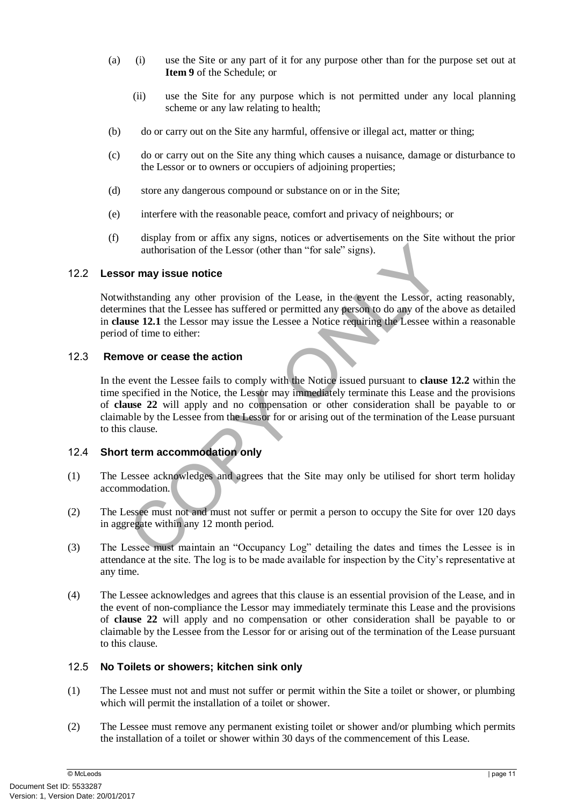- (a) (i) use the Site or any part of it for any purpose other than for the purpose set out at **Item 9** of the Schedule; or
	- (ii) use the Site for any purpose which is not permitted under any local planning scheme or any law relating to health;
- (b) do or carry out on the Site any harmful, offensive or illegal act, matter or thing;
- (c) do or carry out on the Site any thing which causes a nuisance, damage or disturbance to the Lessor or to owners or occupiers of adjoining properties;
- (d) store any dangerous compound or substance on or in the Site;
- (e) interfere with the reasonable peace, comfort and privacy of neighbours; or
- (f) display from or affix any signs, notices or advertisements on the Site without the prior authorisation of the Lessor (other than "for sale" signs).

#### <span id="page-15-0"></span>12.2 **Lessor may issue notice**

Notwithstanding any other provision of the Lease, in the event the Lessor, acting reasonably, determines that the Lessee has suffered or permitted any person to do any of the above as detailed in **clause 12.1** the Lessor may issue the Lessee a Notice requiring the Lessee within a reasonable period of time to either:

#### 12.3 **Remove or cease the action**

authorisation of the Lessor (other than "for sale" signs).<br> **Sor may issue notice**<br>
thstanding any other provision of the Lease, in the event the Lessor, action<br>
the standing any other provision of the Lease, in the event In the event the Lessee fails to comply with the Notice issued pursuant to **clause [12.2](#page-15-0)** within the time specified in the Notice, the Lessor may immediately terminate this Lease and the provisions of **clause 22** will apply and no compensation or other consideration shall be payable to or claimable by the Lessee from the Lessor for or arising out of the termination of the Lease pursuant to this clause.

#### 12.4 **Short term accommodation only**

- (1) The Lessee acknowledges and agrees that the Site may only be utilised for short term holiday accommodation.
- (2) The Lessee must not and must not suffer or permit a person to occupy the Site for over 120 days in aggregate within any 12 month period.
- (3) The Lessee must maintain an "Occupancy Log" detailing the dates and times the Lessee is in attendance at the site. The log is to be made available for inspection by the City's representative at any time.
- (4) The Lessee acknowledges and agrees that this clause is an essential provision of the Lease, and in the event of non-compliance the Lessor may immediately terminate this Lease and the provisions of **clause [22](#page-21-0)** will apply and no compensation or other consideration shall be payable to or claimable by the Lessee from the Lessor for or arising out of the termination of the Lease pursuant to this clause.

#### 12.5 **No Toilets or showers; kitchen sink only**

- (1) The Lessee must not and must not suffer or permit within the Site a toilet or shower, or plumbing which will permit the installation of a toilet or shower.
- (2) The Lessee must remove any permanent existing toilet or shower and/or plumbing which permits the installation of a toilet or shower within 30 days of the commencement of this Lease.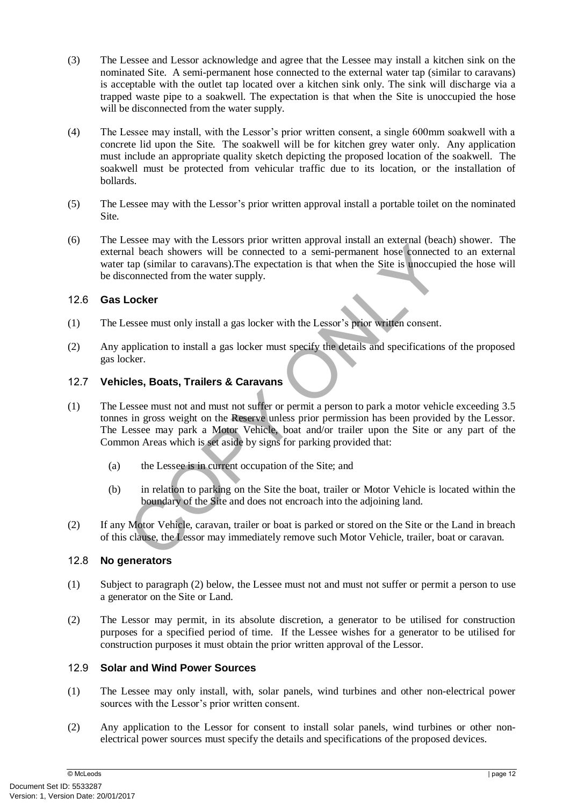- (3) The Lessee and Lessor acknowledge and agree that the Lessee may install a kitchen sink on the nominated Site. A semi-permanent hose connected to the external water tap (similar to caravans) is acceptable with the outlet tap located over a kitchen sink only. The sink will discharge via a trapped waste pipe to a soakwell. The expectation is that when the Site is unoccupied the hose will be disconnected from the water supply.
- (4) The Lessee may install, with the Lessor's prior written consent, a single 600mm soakwell with a concrete lid upon the Site. The soakwell will be for kitchen grey water only. Any application must include an appropriate quality sketch depicting the proposed location of the soakwell. The soakwell must be protected from vehicular traffic due to its location, or the installation of bollards.
- (5) The Lessee may with the Lessor's prior written approval install a portable toilet on the nominated Site.
- (6) The Lessee may with the Lessors prior written approval install an external (beach) shower. The external beach showers will be connected to a semi-permanent hose connected to an external water tap (similar to caravans).The expectation is that when the Site is unoccupied the hose will be disconnected from the water supply.

#### 12.6 **Gas Locker**

- (1) The Lessee must only install a gas locker with the Lessor's prior written consent.
- (2) Any application to install a gas locker must specify the details and specifications of the proposed gas locker.

#### 12.7 **Vehicles, Boats, Trailers & Caravans**

- Solution with a manufacture control of the Site of the Site of the Connected of a semi-permanent hose connected tap (similar to caravans). The expectation is that when the Site is unoccupied<br>connected from the water supply (1) The Lessee must not and must not suffer or permit a person to park a motor vehicle exceeding 3.5 tonnes in gross weight on the Reserve unless prior permission has been provided by the Lessor. The Lessee may park a Motor Vehicle, boat and/or trailer upon the Site or any part of the Common Areas which is set aside by signs for parking provided that:
	- (a) the Lessee is in current occupation of the Site; and
	- (b) in relation to parking on the Site the boat, trailer or Motor Vehicle is located within the boundary of the Site and does not encroach into the adjoining land.
- (2) If any Motor Vehicle, caravan, trailer or boat is parked or stored on the Site or the Land in breach of this clause, the Lessor may immediately remove such Motor Vehicle, trailer, boat or caravan.

#### 12.8 **No generators**

- (1) Subject to paragraph (2) below, the Lessee must not and must not suffer or permit a person to use a generator on the Site or Land.
- (2) The Lessor may permit, in its absolute discretion, a generator to be utilised for construction purposes for a specified period of time. If the Lessee wishes for a generator to be utilised for construction purposes it must obtain the prior written approval of the Lessor.

#### 12.9 **Solar and Wind Power Sources**

- (1) The Lessee may only install, with, solar panels, wind turbines and other non-electrical power sources with the Lessor's prior written consent.
- (2) Any application to the Lessor for consent to install solar panels, wind turbines or other nonelectrical power sources must specify the details and specifications of the proposed devices.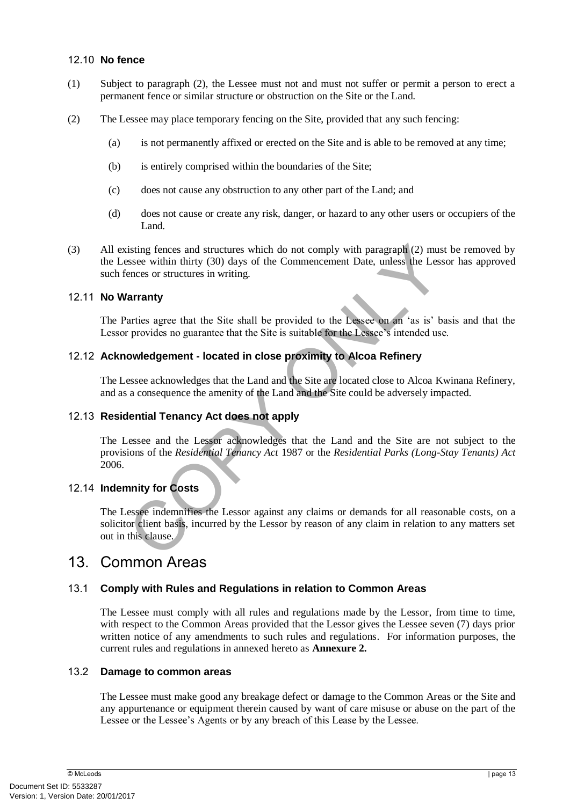#### 12.10 **No fence**

- (1) Subject to paragraph (2), the Lessee must not and must not suffer or permit a person to erect a permanent fence or similar structure or obstruction on the Site or the Land.
- (2) The Lessee may place temporary fencing on the Site, provided that any such fencing:
	- (a) is not permanently affixed or erected on the Site and is able to be removed at any time;
	- (b) is entirely comprised within the boundaries of the Site;
	- (c) does not cause any obstruction to any other part of the Land; and
	- (d) does not cause or create any risk, danger, or hazard to any other users or occupiers of the Land.
- (3) All existing fences and structures which do not comply with paragraph (2) must be removed by the Lessee within thirty (30) days of the Commencement Date, unless the Lessor has approved such fences or structures in writing.

#### 12.11 **No Warranty**

The Parties agree that the Site shall be provided to the Lessee on an 'as is' basis and that the Lessor provides no guarantee that the Site is suitable for the Lessee's intended use.

#### 12.12 **Acknowledgement - located in close proximity to Alcoa Refinery**

The Lessee acknowledges that the Land and the Site are located close to Alcoa Kwinana Refinery, and as a consequence the amenity of the Land and the Site could be adversely impacted.

#### 12.13 **Residential Tenancy Act does not apply**

The Lessee and the Lessor acknowledges that the Land and the Site are not subject to the provisions of the *Residential Tenancy Act* 1987 or the *Residential Parks (Long-Stay Tenants) Act*  2006.

#### 12.14 **Indemnity for Costs**

isting fences and structures which do not comply with paragraph (2) must b<br>ssee within thirty (30) days of the Commencement Date, unless the Lessor<br>ences or structures in writing.<br>**arranty**<br>data arranty<br>arries agree that t The Lessee indemnifies the Lessor against any claims or demands for all reasonable costs, on a solicitor client basis, incurred by the Lessor by reason of any claim in relation to any matters set out in this clause.

## 13. Common Areas

#### 13.1 **Comply with Rules and Regulations in relation to Common Areas**

The Lessee must comply with all rules and regulations made by the Lessor, from time to time, with respect to the Common Areas provided that the Lessor gives the Lessee seven (7) days prior written notice of any amendments to such rules and regulations. For information purposes, the current rules and regulations in annexed hereto as **Annexure 2.** 

#### 13.2 **Damage to common areas**

The Lessee must make good any breakage defect or damage to the Common Areas or the Site and any appurtenance or equipment therein caused by want of care misuse or abuse on the part of the Lessee or the Lessee's Agents or by any breach of this Lease by the Lessee.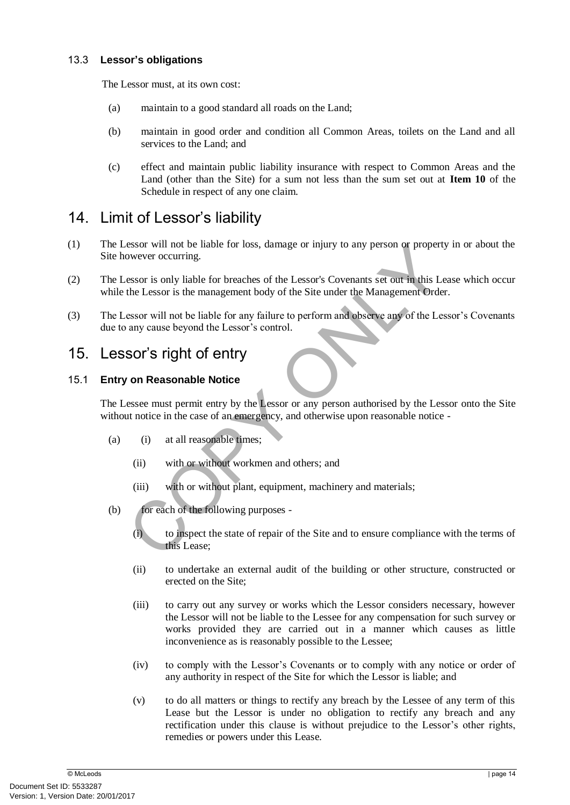#### 13.3 **Lessor's obligations**

The Lessor must, at its own cost:

- (a) maintain to a good standard all roads on the Land;
- (b) maintain in good order and condition all Common Areas, toilets on the Land and all services to the Land; and
- (c) effect and maintain public liability insurance with respect to Common Areas and the Land (other than the Site) for a sum not less than the sum set out at **Item 10** of the Schedule in respect of any one claim.

## 14. Limit of Lessor's liability

- (1) The Lessor will not be liable for loss, damage or injury to any person or property in or about the Site however occurring.
- Example the main of the main of the Site and to ensure control the Site and the Site and the Lessor<br>
Sesor is only liable for breaches of the Lessor's Covenants set out in this Leas<br>
the Lessor is the management body of th (2) The Lessor is only liable for breaches of the Lessor's Covenants set out in this Lease which occur while the Lessor is the management body of the Site under the Management Order.
- (3) The Lessor will not be liable for any failure to perform and observe any of the Lessor's Covenants due to any cause beyond the Lessor's control.

## <span id="page-18-0"></span>15. Lessor's right of entry

#### 15.1 **Entry on Reasonable Notice**

The Lessee must permit entry by the Lessor or any person authorised by the Lessor onto the Site without notice in the case of an emergency, and otherwise upon reasonable notice -

- (a) (i) at all reasonable times;
	- (ii) with or without workmen and others; and
	- (iii) with or without plant, equipment, machinery and materials;
- (b) for each of the following purposes
	- (i) to inspect the state of repair of the Site and to ensure compliance with the terms of this Lease;
	- (ii) to undertake an external audit of the building or other structure, constructed or erected on the Site;
	- (iii) to carry out any survey or works which the Lessor considers necessary, however the Lessor will not be liable to the Lessee for any compensation for such survey or works provided they are carried out in a manner which causes as little inconvenience as is reasonably possible to the Lessee;
	- (iv) to comply with the Lessor's Covenants or to comply with any notice or order of any authority in respect of the Site for which the Lessor is liable; and
	- (v) to do all matters or things to rectify any breach by the Lessee of any term of this Lease but the Lessor is under no obligation to rectify any breach and any rectification under this clause is without prejudice to the Lessor's other rights, remedies or powers under this Lease.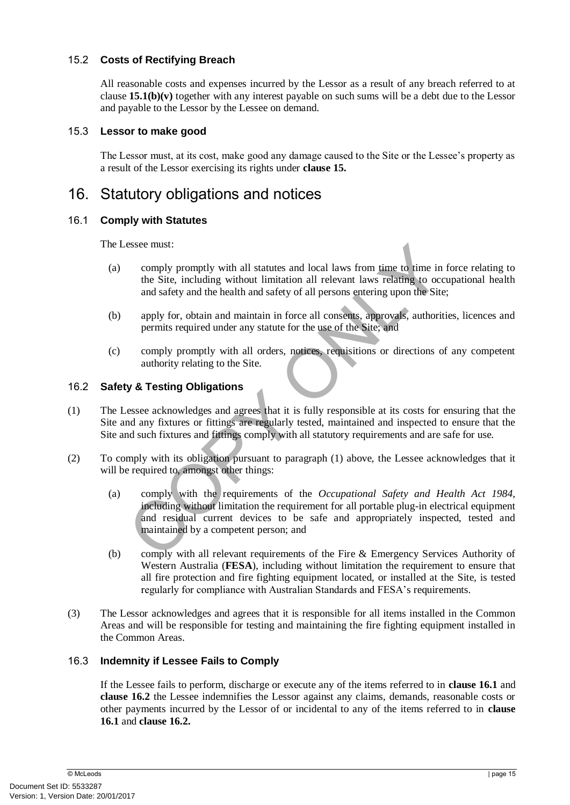#### 15.2 **Costs of Rectifying Breach**

All reasonable costs and expenses incurred by the Lessor as a result of any breach referred to at clause **15.1(b)(v)** together with any interest payable on such sums will be a debt due to the Lessor and payable to the Lessor by the Lessee on demand.

#### 15.3 **Lessor to make good**

The Lessor must, at its cost, make good any damage caused to the Site or the Lessee's property as a result of the Lessor exercising its rights under **clause [15.](#page-18-0)**

## 16. Statutory obligations and notices

#### <span id="page-19-0"></span>16.1 **Comply with Statutes**

The Lessee must:

- (a) comply promptly with all statutes and local laws from time to time in force relating to the Site, including without limitation all relevant laws relating to occupational health and safety and the health and safety of all persons entering upon the Site;
- (b) apply for, obtain and maintain in force all consents, approvals, authorities, licences and permits required under any statute for the use of the Site; and
- (c) comply promptly with all orders, notices, requisitions or directions of any competent authority relating to the Site.

#### <span id="page-19-1"></span>16.2 **Safety & Testing Obligations**

- (1) The Lessee acknowledges and agrees that it is fully responsible at its costs for ensuring that the Site and any fixtures or fittings are regularly tested, maintained and inspected to ensure that the Site and such fixtures and fittings comply with all statutory requirements and are safe for use.
- (2) To comply with its obligation pursuant to paragraph (1) above, the Lessee acknowledges that it will be required to, amongst other things:
- essee must:<br>
comply promptly with all statutes and local laws from time to time in foot the Site, including without limitation all relevant laws relating to occup<br>
and safety and the health and safety of all persons enteri (a) comply with the requirements of the *Occupational Safety and Health Act 1984,*  including without limitation the requirement for all portable plug-in electrical equipment and residual current devices to be safe and appropriately inspected, tested and maintained by a competent person; and
	- (b) comply with all relevant requirements of the Fire & Emergency Services Authority of Western Australia (**FESA**), including without limitation the requirement to ensure that all fire protection and fire fighting equipment located, or installed at the Site, is tested regularly for compliance with Australian Standards and FESA's requirements.
- (3) The Lessor acknowledges and agrees that it is responsible for all items installed in the Common Areas and will be responsible for testing and maintaining the fire fighting equipment installed in the Common Areas.

#### 16.3 **Indemnity if Lessee Fails to Comply**

If the Lessee fails to perform, discharge or execute any of the items referred to in **clause [16.1](#page-19-0)** and **clause [16.2](#page-19-1)** the Lessee indemnifies the Lessor against any claims, demands, reasonable costs or other payments incurred by the Lessor of or incidental to any of the items referred to in **clause [16.1](#page-19-0)** and **clause [16.2.](#page-19-1)**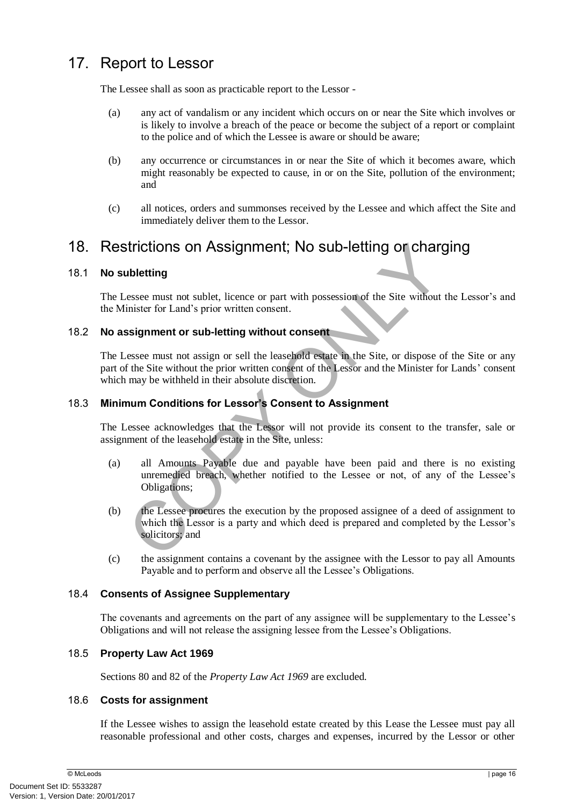## 17. Report to Lessor

The Lessee shall as soon as practicable report to the Lessor -

- (a) any act of vandalism or any incident which occurs on or near the Site which involves or is likely to involve a breach of the peace or become the subject of a report or complaint to the police and of which the Lessee is aware or should be aware;
- (b) any occurrence or circumstances in or near the Site of which it becomes aware, which might reasonably be expected to cause, in or on the Site, pollution of the environment; and
- (c) all notices, orders and summonses received by the Lessee and which affect the Site and immediately deliver them to the Lessor.

## <span id="page-20-0"></span>18. Restrictions on Assignment; No sub-letting or charging

#### 18.1 **No subletting**

The Lessee must not sublet, licence or part with possession of the Site without the Lessor's and the Minister for Land's prior written consent.

#### 18.2 **No assignment or sub-letting without consent**

The Lessee must not assign or sell the leasehold estate in the Site, or dispose of the Site or any part of the Site without the prior written consent of the Lessor and the Minister for Lands' consent which may be withheld in their absolute discretion.

#### 18.3 **Minimum Conditions for Lessor's Consent to Assignment**

The Lessee acknowledges that the Lessor will not provide its consent to the transfer, sale or assignment of the leasehold estate in the Site, unless:

- (a) all Amounts Payable due and payable have been paid and there is no existing unremedied breach, whether notified to the Lessee or not, of any of the Lessee's Obligations;
- **Example 11 COPY ASSIGNMENT**; NO SUD-letting or charger<br> **COPY ASSIGNMENT**<br> **COPY ONEX**<br> **COPY ASSIGNMENT SEXES CONSIGNMENT**<br> **COPY ASSIGNMENT CONSIGNMENT**<br> **COPY ASSIGNMENT CONSIGNMENT**<br> **COPY ASSIGNMENT CONSIGNMENT**<br> (b) the Lessee procures the execution by the proposed assignee of a deed of assignment to which the Lessor is a party and which deed is prepared and completed by the Lessor's solicitors; and
- (c) the assignment contains a covenant by the assignee with the Lessor to pay all Amounts Payable and to perform and observe all the Lessee's Obligations.

#### 18.4 **Consents of Assignee Supplementary**

The covenants and agreements on the part of any assignee will be supplementary to the Lessee's Obligations and will not release the assigning lessee from the Lessee's Obligations.

#### 18.5 **Property Law Act 1969**

Sections 80 and 82 of the *Property Law Act 1969* are excluded.

#### 18.6 **Costs for assignment**

If the Lessee wishes to assign the leasehold estate created by this Lease the Lessee must pay all reasonable professional and other costs, charges and expenses, incurred by the Lessor or other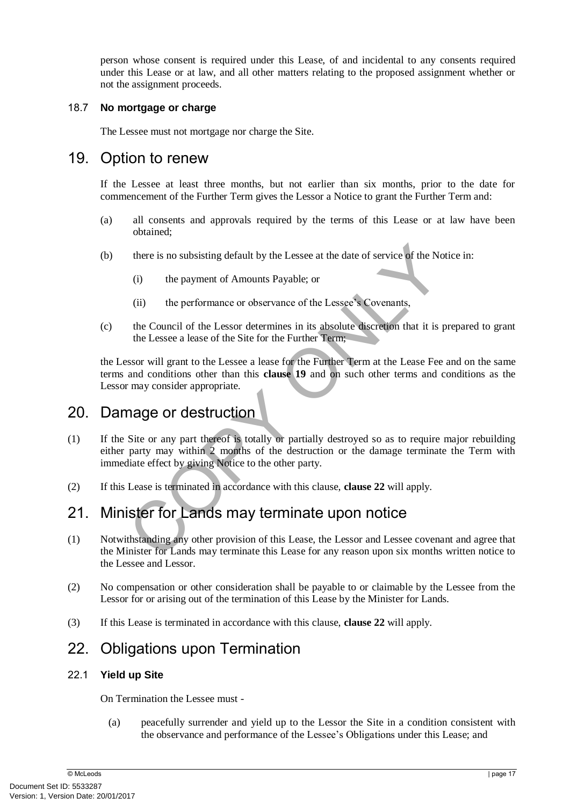person whose consent is required under this Lease, of and incidental to any consents required under this Lease or at law, and all other matters relating to the proposed assignment whether or not the assignment proceeds.

#### 18.7 **No mortgage or charge**

The Lessee must not mortgage nor charge the Site.

## <span id="page-21-1"></span>19. Option to renew

If the Lessee at least three months, but not earlier than six months, prior to the date for commencement of the Further Term gives the Lessor a Notice to grant the Further Term and:

- (a) all consents and approvals required by the terms of this Lease or at law have been obtained;
- (b) there is no subsisting default by the Lessee at the date of service of the Notice in:
	- (i) the payment of Amounts Payable; or
	- (ii) the performance or observance of the Lessee's Covenants,
- (c) the Council of the Lessor determines in its absolute discretion that it is prepared to grant the Lessee a lease of the Site for the Further Term;

the Lessor will grant to the Lessee a lease for the Further Term at the Lease Fee and on the same terms and conditions other than this **clause 19** and on such other terms and conditions as the Lessor may consider appropriate.

## 20. Damage or destruction

- there is no subsisting default by the Lessee at the date of service of the Notice<br>
(i) the payment of Amounts Payable; or<br>
(ii) the performance or observance of the Lessee's Covenants,<br>
the Council of the Lessor determines (1) If the Site or any part thereof is totally or partially destroyed so as to require major rebuilding either party may within 2 months of the destruction or the damage terminate the Term with immediate effect by giving Notice to the other party.
- (2) If this Lease is terminated in accordance with this clause, **clause 22** will apply.

## 21. Minister for Lands may terminate upon notice

- (1) Notwithstanding any other provision of this Lease, the Lessor and Lessee covenant and agree that the Minister for Lands may terminate this Lease for any reason upon six months written notice to the Lessee and Lessor.
- (2) No compensation or other consideration shall be payable to or claimable by the Lessee from the Lessor for or arising out of the termination of this Lease by the Minister for Lands.
- <span id="page-21-0"></span>(3) If this Lease is terminated in accordance with this clause, **clause [22](#page-21-0)** will apply.

## 22. Obligations upon Termination

#### 22.1 **Yield up Site**

On Termination the Lessee must -

(a) peacefully surrender and yield up to the Lessor the Site in a condition consistent with the observance and performance of the Lessee's Obligations under this Lease; and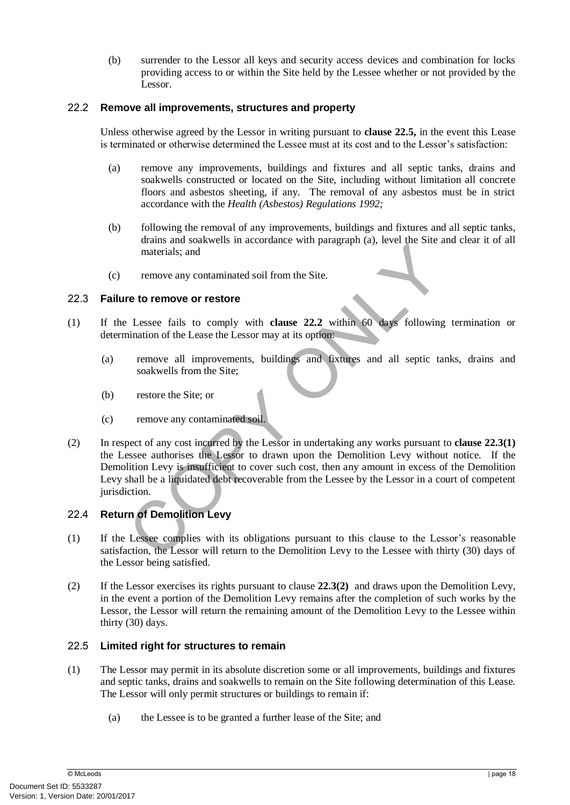(b) surrender to the Lessor all keys and security access devices and combination for locks providing access to or within the Site held by the Lessee whether or not provided by the Lessor.

#### <span id="page-22-2"></span>22.2 **Remove all improvements, structures and property**

Unless otherwise agreed by the Lessor in writing pursuant to **clause [22.5,](#page-22-1)** in the event this Lease is terminated or otherwise determined the Lessee must at its cost and to the Lessor's satisfaction:

- (a) remove any improvements, buildings and fixtures and all septic tanks, drains and soakwells constructed or located on the Site, including without limitation all concrete floors and asbestos sheeting, if any. The removal of any asbestos must be in strict accordance with the *Health (Asbestos) Regulations 1992;*
- (b) following the removal of any improvements, buildings and fixtures and all septic tanks, drains and soakwells in accordance with paragraph (a), level the Site and clear it of all materials; and
- (c) remove any contaminated soil from the Site.

#### <span id="page-22-3"></span>22.3 **Failure to remove or restore**

- (1) If the Lessee fails to comply with **clause 22.2** within 60 days following termination or determination of the Lease the Lessor may at its option:
	- (a) remove all improvements, buildings and fixtures and all septic tanks, drains and soakwells from the Site;
	- (b) restore the Site; or
	- (c) remove any contaminated soil.
- The materials; and<br>
The contaminated soil from the Site.<br>
The correspondence with planguage and the solution of the Lesse fails to comply with clause 22.2 within 60 days following to<br>
The correspondence and the control of (2) In respect of any cost incurred by the Lessor in undertaking any works pursuant to **clause [22.3\(](#page-22-3)1)**  the Lessee authorises the Lessor to drawn upon the Demolition Levy without notice. If the Demolition Levy is insufficient to cover such cost, then any amount in excess of the Demolition Levy shall be a liquidated debt recoverable from the Lessee by the Lessor in a court of competent jurisdiction.

#### <span id="page-22-0"></span>22.4 **Return of Demolition Levy**

- (1) If the Lessee complies with its obligations pursuant to this clause to the Lessor's reasonable satisfaction, the Lessor will return to the Demolition Levy to the Lessee with thirty (30) days of the Lessor being satisfied.
- (2) If the Lessor exercises its rights pursuant to clause **[22.3\(](#page-22-3)2)** and draws upon the Demolition Levy, in the event a portion of the Demolition Levy remains after the completion of such works by the Lessor, the Lessor will return the remaining amount of the Demolition Levy to the Lessee within thirty (30) days.

#### <span id="page-22-1"></span>22.5 **Limited right for structures to remain**

- (1) The Lessor may permit in its absolute discretion some or all improvements, buildings and fixtures and septic tanks, drains and soakwells to remain on the Site following determination of this Lease. The Lessor will only permit structures or buildings to remain if:
	- (a) the Lessee is to be granted a further lease of the Site; and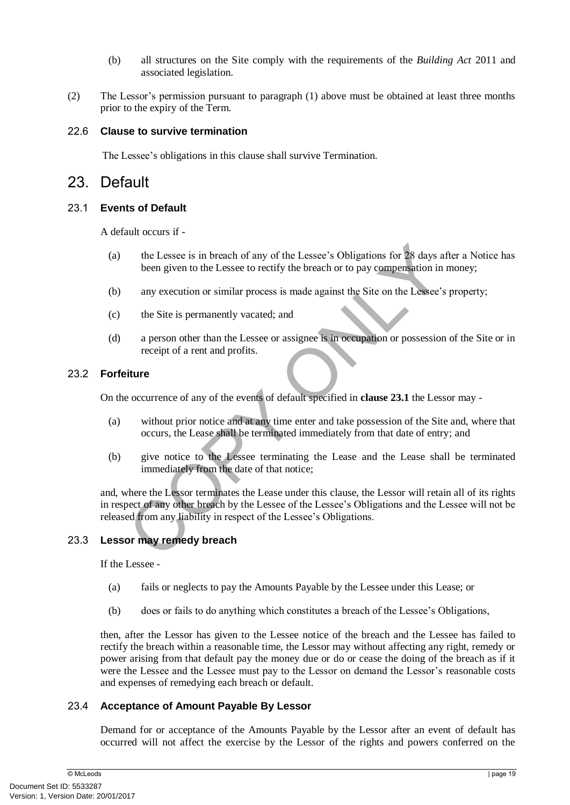- (b) all structures on the Site comply with the requirements of the *Building Act* 2011 and associated legislation.
- (2) The Lessor's permission pursuant to paragraph (1) above must be obtained at least three months prior to the expiry of the Term.

#### 22.6 **Clause to survive termination**

The Lessee's obligations in this clause shall survive Termination.

## 23. Default

#### <span id="page-23-0"></span>23.1 **Events of Default**

A default occurs if -

- (a) the Lessee is in breach of any of the Lessee's Obligations for 28 days after a Notice has been given to the Lessee to rectify the breach or to pay compensation in money;
- (b) any execution or similar process is made against the Site on the Lessee's property;
- (c) the Site is permanently vacated; and
- (d) a person other than the Lessee or assignee is in occupation or possession of the Site or in receipt of a rent and profits.

#### 23.2 **Forfeiture**

On the occurrence of any of the events of default specified in **clause 23.1** the Lessor may -

- (a) without prior notice and at any time enter and take possession of the Site and, where that occurs, the Lease shall be terminated immediately from that date of entry; and
- (b) give notice to the Lessee terminating the Lease and the Lease shall be terminated immediately from the date of that notice;

the Lessee is in breach of any of the Lessee's Obligations for 28 days afte<br>been given to the Lessee to rectify the breach or to pay compensation in m<br>any execution or similar process is made against the Site on the Lessee and, where the Lessor terminates the Lease under this clause, the Lessor will retain all of its rights in respect of any other breach by the Lessee of the Lessee's Obligations and the Lessee will not be released from any liability in respect of the Lessee's Obligations.

#### 23.3 **Lessor may remedy breach**

If the Lessee -

- (a) fails or neglects to pay the Amounts Payable by the Lessee under this Lease; or
- (b) does or fails to do anything which constitutes a breach of the Lessee's Obligations,

then, after the Lessor has given to the Lessee notice of the breach and the Lessee has failed to rectify the breach within a reasonable time, the Lessor may without affecting any right, remedy or power arising from that default pay the money due or do or cease the doing of the breach as if it were the Lessee and the Lessee must pay to the Lessor on demand the Lessor's reasonable costs and expenses of remedying each breach or default.

#### 23.4 **Acceptance of Amount Payable By Lessor**

Demand for or acceptance of the Amounts Payable by the Lessor after an event of default has occurred will not affect the exercise by the Lessor of the rights and powers conferred on the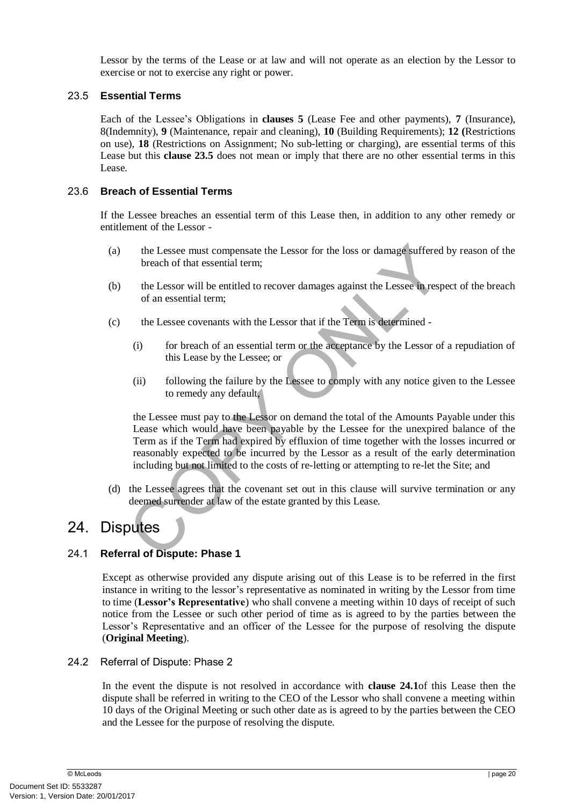Lessor by the terms of the Lease or at law and will not operate as an election by the Lessor to exercise or not to exercise any right or power.

#### <span id="page-24-0"></span>23.5 **Essential Terms**

Each of the Lessee's Obligations in **clauses [5](#page-8-2)** (Lease Fee and other payments), **[7](#page-10-0)** (Insurance), [8\(](#page-11-1)Indemnity), **[9](#page-12-0)** (Maintenance, repair and cleaning), **[10](#page-13-0)** (Building Requirements); **[12](#page-14-1) (**Restrictions on use), **[18](#page-20-0)** (Restrictions on Assignment; No sub-letting or charging), are essential terms of this Lease but this **clause [23.5](#page-24-0)** does not mean or imply that there are no other essential terms in this Lease.

#### 23.6 **Breach of Essential Terms**

If the Lessee breaches an essential term of this Lease then, in addition to any other remedy or entitlement of the Lessor -

- (a) the Lessee must compensate the Lessor for the loss or damage suffered by reason of the breach of that essential term;
- (b) the Lessor will be entitled to recover damages against the Lessee in respect of the breach of an essential term;
- (c) the Lessee covenants with the Lessor that if the Term is determined
	- (i) for breach of an essential term or the acceptance by the Lessor of a repudiation of this Lease by the Lessee; or
	- (ii) following the failure by the Lessee to comply with any notice given to the Lessee to remedy any default,

the Lessee must compensate the Lessor for the loss or damage suffered by<br>breach of that essential term;<br>the Lessor will be entitled to recover damages against the Lessee in respect<br>of an essential term;<br>the Lessee covenant the Lessee must pay to the Lessor on demand the total of the Amounts Payable under this Lease which would have been payable by the Lessee for the unexpired balance of the Term as if the Term had expired by effluxion of time together with the losses incurred or reasonably expected to be incurred by the Lessor as a result of the early determination including but not limited to the costs of re-letting or attempting to re-let the Site; and

(d) the Lessee agrees that the covenant set out in this clause will survive termination or any deemed surrender at law of the estate granted by this Lease.

## 24. Disputes

#### <span id="page-24-1"></span>24.1 **Referral of Dispute: Phase 1**

Except as otherwise provided any dispute arising out of this Lease is to be referred in the first instance in writing to the lessor's representative as nominated in writing by the Lessor from time to time (**Lessor's Representative**) who shall convene a meeting within 10 days of receipt of such notice from the Lessee or such other period of time as is agreed to by the parties between the Lessor's Representative and an officer of the Lessee for the purpose of resolving the dispute (**Original Meeting**).

#### <span id="page-24-2"></span>24.2 Referral of Dispute: Phase 2

In the event the dispute is not resolved in accordance with **clause [24.1](#page-24-1)**of this Lease then the dispute shall be referred in writing to the CEO of the Lessor who shall convene a meeting within 10 days of the Original Meeting or such other date as is agreed to by the parties between the CEO and the Lessee for the purpose of resolving the dispute.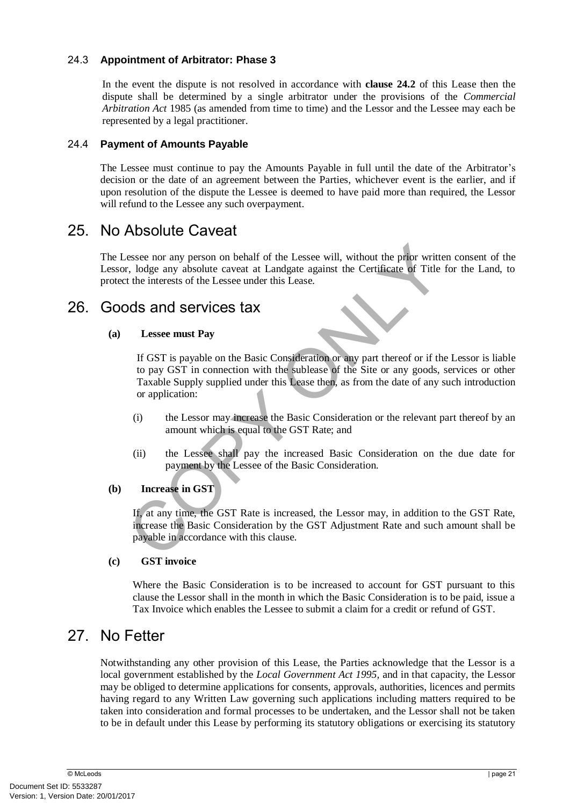#### 24.3 **Appointment of Arbitrator: Phase 3**

In the event the dispute is not resolved in accordance with **clause [24.2](#page-24-2)** of this Lease then the dispute shall be determined by a single arbitrator under the provisions of the *Commercial Arbitration Act* 1985 (as amended from time to time) and the Lessor and the Lessee may each be represented by a legal practitioner.

#### 24.4 **Payment of Amounts Payable**

The Lessee must continue to pay the Amounts Payable in full until the date of the Arbitrator's decision or the date of an agreement between the Parties, whichever event is the earlier, and if upon resolution of the dispute the Lessee is deemed to have paid more than required, the Lessor will refund to the Lessee any such overpayment.

## 25. No Absolute Caveat

The Lessee nor any person on behalf of the Lessee will, without the prior written consent of the Lessor, lodge any absolute caveat at Landgate against the Certificate of Title for the Land, to protect the interests of the Lessee under this Lease.

## 26. Goods and services tax

#### **(a) Lessee must Pay**

exercise nor any person on behalf of the Lessee will, without the prior written<br>
exercise any absolute caveat at Landgate against the Certificate of Title for<br>
the interests of the Lessee under this Lease.<br> **OIS and Servic** If GST is payable on the Basic Consideration or any part thereof or if the Lessor is liable to pay GST in connection with the sublease of the Site or any goods, services or other Taxable Supply supplied under this Lease then, as from the date of any such introduction or application:

- (i) the Lessor may increase the Basic Consideration or the relevant part thereof by an amount which is equal to the GST Rate; and
- (ii) the Lessee shall pay the increased Basic Consideration on the due date for payment by the Lessee of the Basic Consideration.

#### **(b) Increase in GST**

If, at any time, the GST Rate is increased, the Lessor may, in addition to the GST Rate, increase the Basic Consideration by the GST Adjustment Rate and such amount shall be payable in accordance with this clause.

#### **(c) GST invoice**

Where the Basic Consideration is to be increased to account for GST pursuant to this clause the Lessor shall in the month in which the Basic Consideration is to be paid, issue a Tax Invoice which enables the Lessee to submit a claim for a credit or refund of GST.

## 27. No Fetter

Notwithstanding any other provision of this Lease, the Parties acknowledge that the Lessor is a local government established by the *Local Government Act 1995,* and in that capacity, the Lessor may be obliged to determine applications for consents, approvals, authorities, licences and permits having regard to any Written Law governing such applications including matters required to be taken into consideration and formal processes to be undertaken, and the Lessor shall not be taken to be in default under this Lease by performing its statutory obligations or exercising its statutory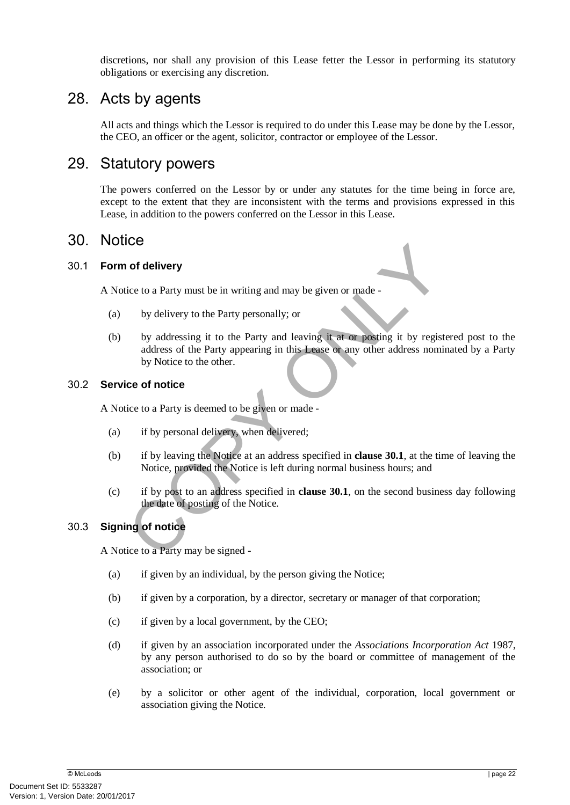discretions, nor shall any provision of this Lease fetter the Lessor in performing its statutory obligations or exercising any discretion.

## 28. Acts by agents

All acts and things which the Lessor is required to do under this Lease may be done by the Lessor, the CEO, an officer or the agent, solicitor, contractor or employee of the Lessor.

## 29. Statutory powers

The powers conferred on the Lessor by or under any statutes for the time being in force are, except to the extent that they are inconsistent with the terms and provisions expressed in this Lease, in addition to the powers conferred on the Lessor in this Lease.

## 30. Notice

#### <span id="page-26-0"></span>30.1 **Form of delivery**

A Notice to a Party must be in writing and may be given or made -

- (a) by delivery to the Party personally; or
- ordinative to a Party must be in writing and may be given or made-<br>by delivery to the Party personally; or<br>by addressing it to the Party and leaving it at or posting it by registere<br>address of the Party appearing in this L (b) by addressing it to the Party and leaving it at or posting it by registered post to the address of the Party appearing in this Lease or any other address nominated by a Party by Notice to the other.

#### 30.2 **Service of notice**

A Notice to a Party is deemed to be given or made -

- (a) if by personal delivery, when delivered;
- (b) if by leaving the Notice at an address specified in **clause 30.1**, at the time of leaving the Notice, provided the Notice is left during normal business hours; and
- (c) if by post to an address specified in **clause 30.1**, on the second business day following the date of posting of the Notice.

#### 30.3 **Signing of notice**

A Notice to a Party may be signed -

- (a) if given by an individual, by the person giving the Notice;
- (b) if given by a corporation, by a director, secretary or manager of that corporation;
- (c) if given by a local government, by the CEO;
- (d) if given by an association incorporated under the *Associations Incorporation Act* 1987, by any person authorised to do so by the board or committee of management of the association; or
- (e) by a solicitor or other agent of the individual, corporation, local government or association giving the Notice.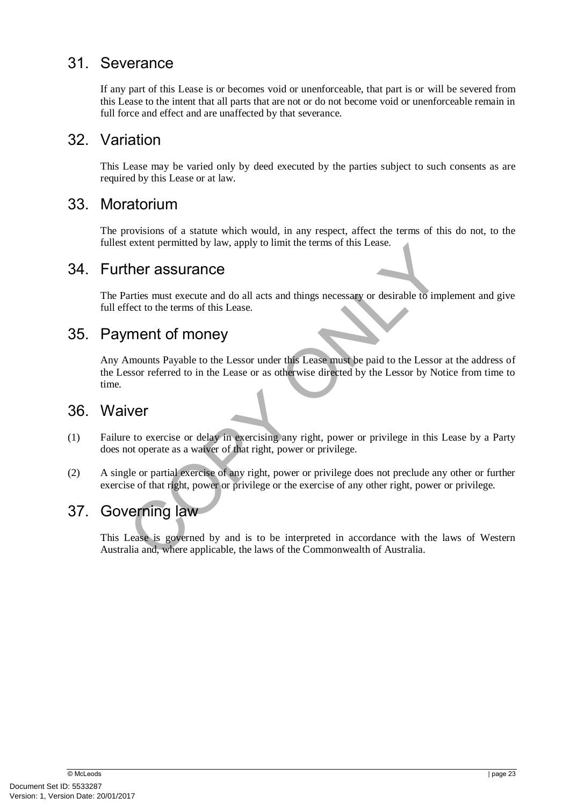## 31. Severance

If any part of this Lease is or becomes void or unenforceable, that part is or will be severed from this Lease to the intent that all parts that are not or do not become void or unenforceable remain in full force and effect and are unaffected by that severance.

## 32. Variation

This Lease may be varied only by deed executed by the parties subject to such consents as are required by this Lease or at law.

## 33. Moratorium

The provisions of a statute which would, in any respect, affect the terms of this do not, to the fullest extent permitted by law, apply to limit the terms of this Lease.

## 34. Further assurance

The Parties must execute and do all acts and things necessary or desirable to implement and give full effect to the terms of this Lease.

## 35. Payment of money

Extern permined by law, apply to mint the terms of this Lease.<br> **COPY ACCES THEORY ACCES**<br> **COPY ACCES ACCES**<br> **COPY ACCES ACCES**<br> **COPY ACCES ACCES**<br> **COPY ACCES ACCES**<br> **COPY ACCES**<br> **COPY ACCES**<br> **COPY ACCES**<br> **COPY ACC** Any Amounts Payable to the Lessor under this Lease must be paid to the Lessor at the address of the Lessor referred to in the Lease or as otherwise directed by the Lessor by Notice from time to time.

## 36. Waiver

- (1) Failure to exercise or delay in exercising any right, power or privilege in this Lease by a Party does not operate as a waiver of that right, power or privilege.
- (2) A single or partial exercise of any right, power or privilege does not preclude any other or further exercise of that right, power or privilege or the exercise of any other right, power or privilege.

## 37. Governing law

This Lease is governed by and is to be interpreted in accordance with the laws of Western Australia and, where applicable, the laws of the Commonwealth of Australia.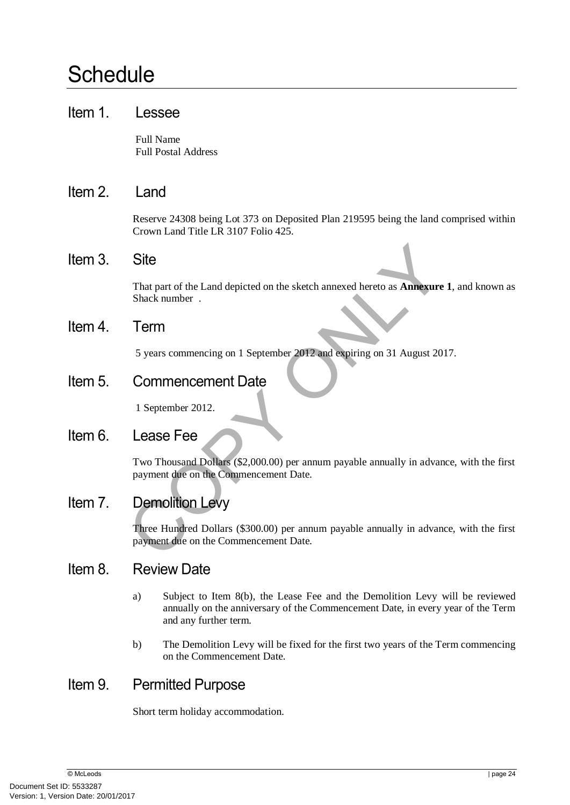# **Schedule**

## Item 1. Lessee

Full Name Full Postal Address

## Item 2. Land

Reserve 24308 being Lot 373 on Deposited Plan 219595 being the land comprised within Crown Land Title LR 3107 Folio 425.

## Item 3. Site

That part of the Land depicted on the sketch annexed hereto as **Annexure 1**, and known as Shack number .

## Item 4. Term

5 years commencing on 1 September 2012 and expiring on 31 August 2017.

Item 5. Commencement Date

1 September 2012.

## Item 6. Lease Fee

Site<br>
That part of the Land depicted on the sketch annexed hereto as **Annexure 1**,<br>
Shack number .<br>
Term<br>
5 years commencing on 1 September 2012 and expiring on 31 August 2017.<br>
Commencement Date<br>
1 September 2012.<br>
Lease Two Thousand Dollars (\$2,000.00) per annum payable annually in advance, with the first payment due on the Commencement Date.

## Item 7. Demolition Levy

Three Hundred Dollars (\$300.00) per annum payable annually in advance, with the first payment due on the Commencement Date.

## Item 8. Review Date

- a) Subject to Item 8(b), the Lease Fee and the Demolition Levy will be reviewed annually on the anniversary of the Commencement Date, in every year of the Term and any further term.
- b) The Demolition Levy will be fixed for the first two years of the Term commencing on the Commencement Date.

## Item 9. Permitted Purpose

Short term holiday accommodation.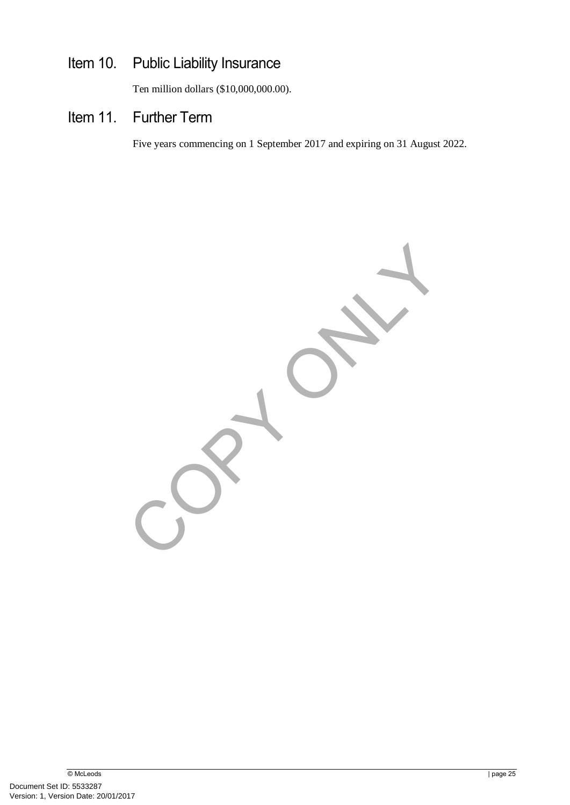## Item 10. Public Liability Insurance

Ten million dollars (\$10,000,000.00).

## Item 11. Further Term

Five years commencing on 1 September 2017 and expiring on 31 August 2022.

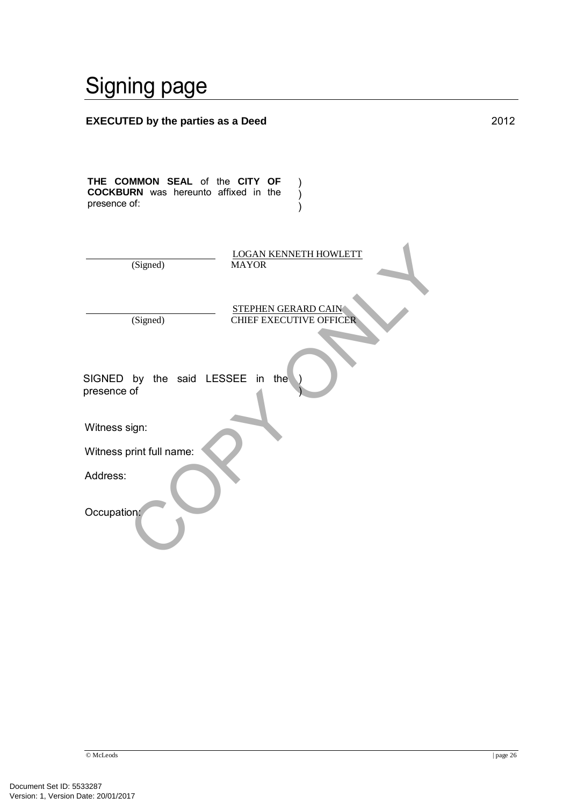# Signing page

| <b>EXECUTED by the parties as a Deed</b>                                                      | 2012 |
|-----------------------------------------------------------------------------------------------|------|
| THE COMMON SEAL of the CITY OF<br><b>COCKBURN</b> was hereunto affixed in the<br>presence of: |      |
| <b>LOGAN KENNETH HOWLETT</b><br>(Signed)<br><b>MAYOR</b>                                      |      |
| <b>STEPHEN GERARD CAIN</b><br>(Signed)<br><b>CHIEF EXECUTIVE OFFICER</b>                      |      |
| SIGNED by the said LESSEE<br>the<br>in<br>presence of                                         |      |
| Witness sign:                                                                                 |      |
| Witness print full name:                                                                      |      |
| Address:                                                                                      |      |
| Occupation:                                                                                   |      |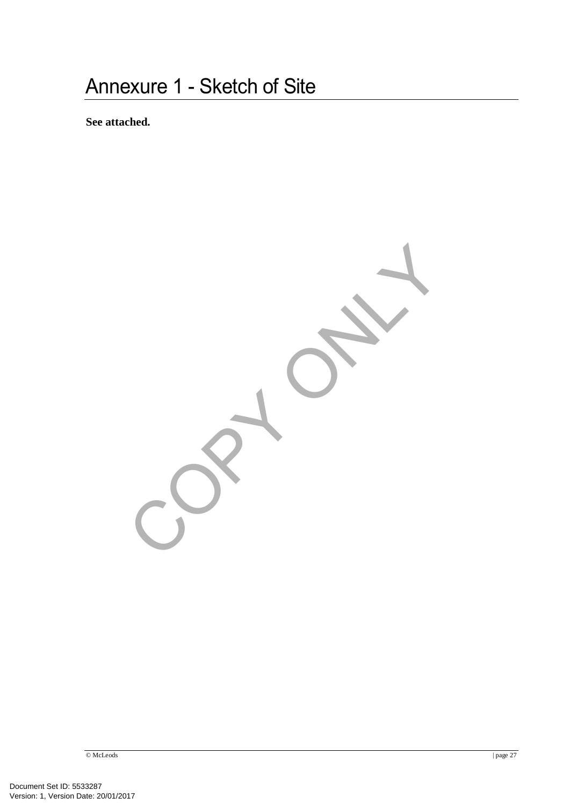**See attached.** 

# Contact of Contract

© McLeods | page 27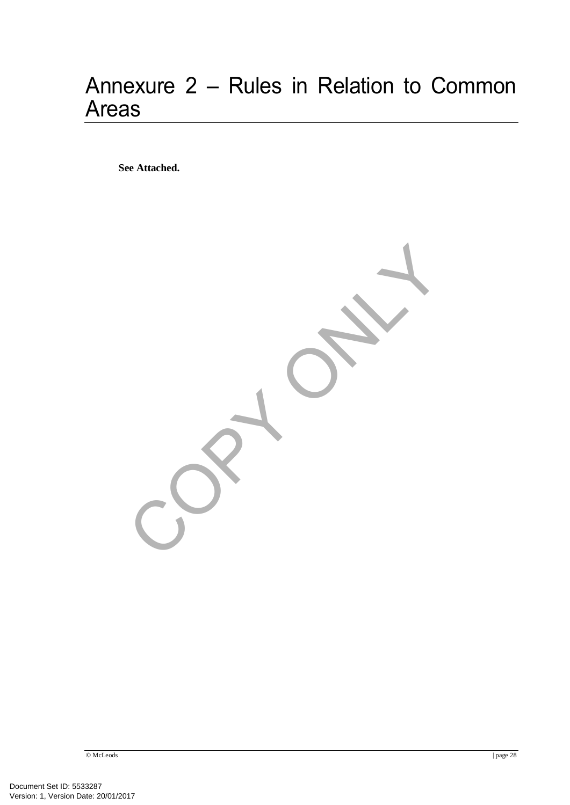# Annexure 2 – Rules in Relation to Common Areas

**See Attached.** 

Contact of Contract

© McLeods | page 28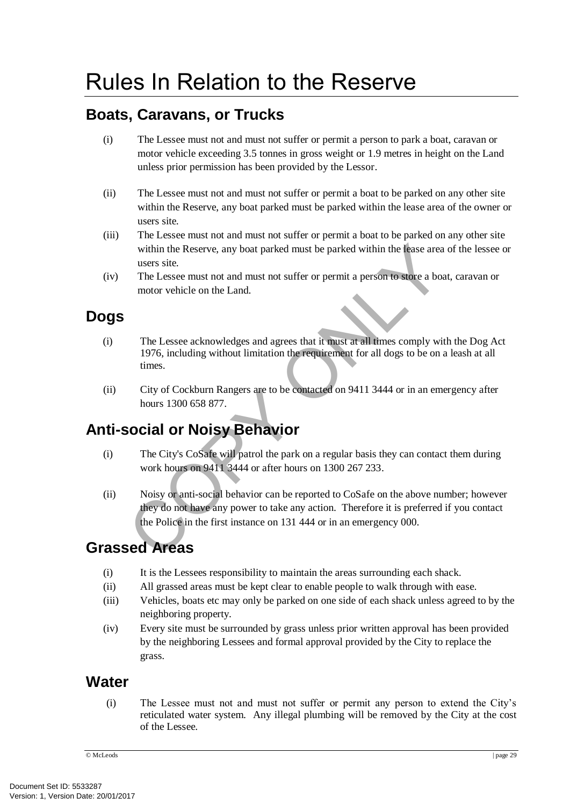## **Boats, Caravans, or Trucks**

- (i) The Lessee must not and must not suffer or permit a person to park a boat, caravan or motor vehicle exceeding 3.5 tonnes in gross weight or 1.9 metres in height on the Land unless prior permission has been provided by the Lessor.
- (ii) The Lessee must not and must not suffer or permit a boat to be parked on any other site within the Reserve, any boat parked must be parked within the lease area of the owner or users site.
- (iii) The Lessee must not and must not suffer or permit a boat to be parked on any other site within the Reserve, any boat parked must be parked within the lease area of the lessee or users site.
- (iv) The Lessee must not and must not suffer or permit a person to store a boat, caravan or motor vehicle on the Land.

## **Dogs**

- (i) The Lessee acknowledges and agrees that it must at all times comply with the Dog Act 1976, including without limitation the requirement for all dogs to be on a leash at all times.
- (ii) City of Cockburn Rangers are to be contacted on 9411 3444 or in an emergency after hours 1300 658 877.

## **Anti-social or Noisy Behavior**

- (i) The City's CoSafe will patrol the park on a regular basis they can contact them during work hours on 9411 3444 or after hours on 1300 267 233.
- within the Reserve, any boat parked must be parked within the lease area of<br>users site.<br>The Lessee must not and must not suffer or permit a person to store a boat,<br>motor vehicle on the Land.<br>The Lessee acknowledges and ag (ii) Noisy or anti-social behavior can be reported to CoSafe on the above number; however they do not have any power to take any action. Therefore it is preferred if you contact the Police in the first instance on 131 444 or in an emergency 000.

## **Grassed Areas**

- (i) It is the Lessees responsibility to maintain the areas surrounding each shack.
- (ii) All grassed areas must be kept clear to enable people to walk through with ease.
- (iii) Vehicles, boats etc may only be parked on one side of each shack unless agreed to by the neighboring property.
- (iv) Every site must be surrounded by grass unless prior written approval has been provided by the neighboring Lessees and formal approval provided by the City to replace the grass.

## **Water**

(i) The Lessee must not and must not suffer or permit any person to extend the City's reticulated water system. Any illegal plumbing will be removed by the City at the cost of the Lessee.

© McLeods | page 29